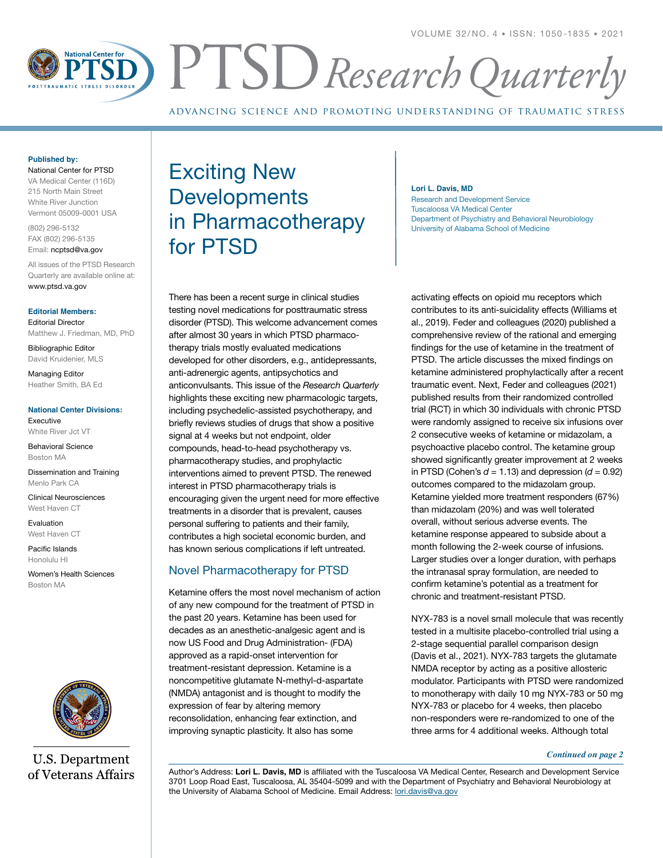

advancing science and promoting understanding of traumatic stress

#### **Published by:**

National Center for PTSD VA Medical Center (116D) 215 North Main Street White River Junction Vermont 05009-0001 USA

(802) 296-5132 FAX (802) 296-5135

Email: ncptsd@va.gov

All issues of the PTSD Research Quarterly are available online at: www.ptsd.va.gov

#### **Editorial Members:**

Editorial Director Matthew J. Friedman, MD, PhD

Bibliographic Editor David Kruidenier, MLS

Managing Editor Heather Smith, BA Ed

#### **National Center Divisions:**

Executive White River Jct VT

Behavioral Science Boston MA

Dissemination and Training Menlo Park CA

Clinical Neurosciences West Haven CT

Evaluation West Haven CT

Pacific Islands Honolulu HI

Women's Health Sciences Boston MA



**U.S. Department** of Veterans Affairs

# Exciting New **Developments** in Pharmacotherapy for PTSD

#### **Lori L. Davis, MD**

Research and Development Service Tuscaloosa VA Medical Center Department of Psychiatry and Behavioral Neurobiology University of Alabama School of Medicine

There has been a recent surge in clinical studies testing novel medications for posttraumatic stress disorder (PTSD). This welcome advancement comes after almost 30 years in which PTSD pharmacotherapy trials mostly evaluated medications developed for other disorders, e.g., antidepressants, anti-adrenergic agents, antipsychotics and anticonvulsants. This issue of the *Research Quarterly* highlights these exciting new pharmacologic targets, including psychedelic-assisted psychotherapy, and briefly reviews studies of drugs that show a positive signal at 4 weeks but not endpoint, older compounds, head-to-head psychotherapy vs. pharmacotherapy studies, and prophylactic interventions aimed to prevent PTSD. The renewed interest in PTSD pharmacotherapy trials is encouraging given the urgent need for more effective treatments in a disorder that is prevalent, causes personal suffering to patients and their family, contributes a high societal economic burden, and has known serious complications if left untreated.

## Novel Pharmacotherapy for PTSD

Ketamine offers the most novel mechanism of action of any new compound for the treatment of PTSD in the past 20 years. Ketamine has been used for decades as an anesthetic-analgesic agent and is now US Food and Drug Administration- (FDA) approved as a rapid-onset intervention for treatment-resistant depression. Ketamine is a noncompetitive glutamate N-methyl-d-aspartate (NMDA) antagonist and is thought to modify the expression of fear by altering memory reconsolidation, enhancing fear extinction, and improving synaptic plasticity. It also has some

activating effects on opioid mu receptors which contributes to its anti-suicidality effects (Williams et al., 2019). Feder and colleagues (2020) published a comprehensive review of the rational and emerging findings for the use of ketamine in the treatment of PTSD. The article discusses the mixed findings on ketamine administered prophylactically after a recent traumatic event. Next, Feder and colleagues (2021) published results from their randomized controlled trial (RCT) in which 30 individuals with chronic PTSD were randomly assigned to receive six infusions over 2 consecutive weeks of ketamine or midazolam, a psychoactive placebo control. The ketamine group showed significantly greater improvement at 2 weeks in PTSD (Cohen's  $d = 1.13$ ) and depression  $(d = 0.92)$ outcomes compared to the midazolam group. Ketamine yielded more treatment responders (67%) than midazolam (20%) and was well tolerated overall, without serious adverse events. The ketamine response appeared to subside about a month following the 2-week course of infusions. Larger studies over a longer duration, with perhaps the intranasal spray formulation, are needed to confirm ketamine's potential as a treatment for chronic and treatment-resistant PTSD.

NYX-783 is a novel small molecule that was recently tested in a multisite placebo-controlled trial using a 2-stage sequential parallel comparison design (Davis et al., 2021). NYX-783 targets the glutamate NMDA receptor by acting as a positive allosteric modulator. Participants with PTSD were randomized to monotherapy with daily 10 mg NYX-783 or 50 mg NYX-783 or placebo for 4 weeks, then placebo non-responders were re-randomized to one of the three arms for 4 additional weeks. Although total

#### *Continued on page 2*

Author's Address: **Lori L. Davis, MD** is affiliated with the Tuscaloosa VA Medical Center, Research and Development Service 3701 Loop Road East, Tuscaloosa, AL 35404-5099 and with the Department of Psychiatry and Behavioral Neurobiology at the University of Alabama School of Medicine. Email Address: [lori.davis@va.gov](mailto:lori.davis@va.gov)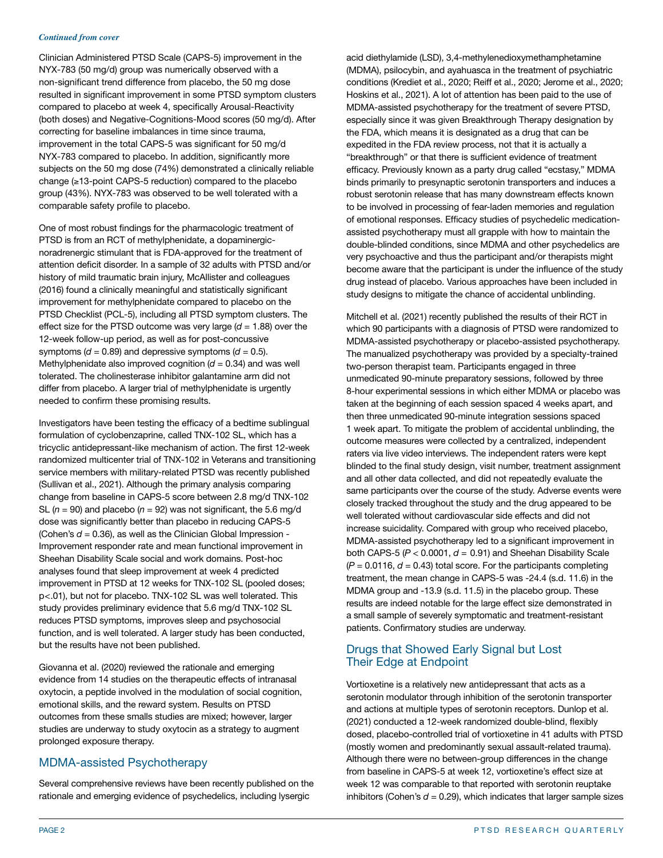#### *Continued from cover*

Clinician Administered PTSD Scale (CAPS-5) improvement in the NYX-783 (50 mg/d) group was numerically observed with a non-significant trend difference from placebo, the 50 mg dose resulted in significant improvement in some PTSD symptom clusters compared to placebo at week 4, specifically Arousal-Reactivity (both doses) and Negative-Cognitions-Mood scores (50 mg/d). After correcting for baseline imbalances in time since trauma, improvement in the total CAPS-5 was significant for 50 mg/d NYX-783 compared to placebo. In addition, significantly more subjects on the 50 mg dose (74%) demonstrated a clinically reliable change (≥13-point CAPS-5 reduction) compared to the placebo group (43%). NYX-783 was observed to be well tolerated with a comparable safety profile to placebo.

One of most robust findings for the pharmacologic treatment of PTSD is from an RCT of methylphenidate, a dopaminergicnoradrenergic stimulant that is FDA-approved for the treatment of attention deficit disorder. In a sample of 32 adults with PTSD and/or history of mild traumatic brain injury, McAllister and colleagues (2016) found a clinically meaningful and statistically significant improvement for methylphenidate compared to placebo on the PTSD Checklist (PCL-5), including all PTSD symptom clusters. The effect size for the PTSD outcome was very large  $(d = 1.88)$  over the 12-week follow-up period, as well as for post-concussive symptoms ( $d = 0.89$ ) and depressive symptoms ( $d = 0.5$ ). Methylphenidate also improved cognition  $(d = 0.34)$  and was well tolerated. The cholinesterase inhibitor galantamine arm did not differ from placebo. A larger trial of methylphenidate is urgently needed to confirm these promising results.

Investigators have been testing the efficacy of a bedtime sublingual formulation of cyclobenzaprine, called TNX-102 SL, which has a tricyclic antidepressant-like mechanism of action. The first 12-week randomized multicenter trial of TNX-102 in Veterans and transitioning service members with military-related PTSD was recently published (Sullivan et al., 2021). Although the primary analysis comparing change from baseline in CAPS-5 score between 2.8 mg/d TNX-102 SL  $(n = 90)$  and placebo  $(n = 92)$  was not significant, the 5.6 mg/d dose was significantly better than placebo in reducing CAPS-5 (Cohen's  $d = 0.36$ ), as well as the Clinician Global Impression -Improvement responder rate and mean functional improvement in Sheehan Disability Scale social and work domains. Post-hoc analyses found that sleep improvement at week 4 predicted improvement in PTSD at 12 weeks for TNX-102 SL (pooled doses; p<.01), but not for placebo. TNX-102 SL was well tolerated. This study provides preliminary evidence that 5.6 mg/d TNX-102 SL reduces PTSD symptoms, improves sleep and psychosocial function, and is well tolerated. A larger study has been conducted, but the results have not been published.

Giovanna et al. (2020) reviewed the rationale and emerging evidence from 14 studies on the therapeutic effects of intranasal oxytocin, a peptide involved in the modulation of social cognition, emotional skills, and the reward system. Results on PTSD outcomes from these smalls studies are mixed; however, larger studies are underway to study oxytocin as a strategy to augment prolonged exposure therapy.

# MDMA-assisted Psychotherapy

Several comprehensive reviews have been recently published on the rationale and emerging evidence of psychedelics, including lysergic

acid diethylamide (LSD), 3,4-methylenedioxymethamphetamine (MDMA), psilocybin, and ayahuasca in the treatment of psychiatric conditions (Krediet et al., 2020; Reiff et al., 2020; Jerome et al., 2020; Hoskins et al., 2021). A lot of attention has been paid to the use of MDMA-assisted psychotherapy for the treatment of severe PTSD, especially since it was given Breakthrough Therapy designation by the FDA, which means it is designated as a drug that can be expedited in the FDA review process, not that it is actually a "breakthrough" or that there is sufficient evidence of treatment efficacy. Previously known as a party drug called "ecstasy," MDMA binds primarily to presynaptic serotonin transporters and induces a robust serotonin release that has many downstream effects known to be involved in processing of fear-laden memories and regulation of emotional responses. Efficacy studies of psychedelic medicationassisted psychotherapy must all grapple with how to maintain the double-blinded conditions, since MDMA and other psychedelics are very psychoactive and thus the participant and/or therapists might become aware that the participant is under the influence of the study drug instead of placebo. Various approaches have been included in study designs to mitigate the chance of accidental unblinding.

Mitchell et al. (2021) recently published the results of their RCT in which 90 participants with a diagnosis of PTSD were randomized to MDMA-assisted psychotherapy or placebo-assisted psychotherapy. The manualized psychotherapy was provided by a specialty-trained two-person therapist team. Participants engaged in three unmedicated 90-minute preparatory sessions, followed by three 8-hour experimental sessions in which either MDMA or placebo was taken at the beginning of each session spaced 4 weeks apart, and then three unmedicated 90-minute integration sessions spaced 1 week apart. To mitigate the problem of accidental unblinding, the outcome measures were collected by a centralized, independent raters via live video interviews. The independent raters were kept blinded to the final study design, visit number, treatment assignment and all other data collected, and did not repeatedly evaluate the same participants over the course of the study. Adverse events were closely tracked throughout the study and the drug appeared to be well tolerated without cardiovascular side effects and did not increase suicidality. Compared with group who received placebo, MDMA-assisted psychotherapy led to a significant improvement in both CAPS-5  $(P < 0.0001, d = 0.91)$  and Sheehan Disability Scale  $(P = 0.0116, d = 0.43)$  total score. For the participants completing treatment, the mean change in CAPS-5 was -24.4 (s.d. 11.6) in the MDMA group and -13.9 (s.d. 11.5) in the placebo group. These results are indeed notable for the large effect size demonstrated in a small sample of severely symptomatic and treatment-resistant patients. Confirmatory studies are underway.

# Drugs that Showed Early Signal but Lost Their Edge at Endpoint

Vortioxetine is a relatively new antidepressant that acts as a serotonin modulator through inhibition of the serotonin transporter and actions at multiple types of serotonin receptors. Dunlop et al. (2021) conducted a 12-week randomized double-blind, flexibly dosed, placebo-controlled trial of vortioxetine in 41 adults with PTSD (mostly women and predominantly sexual assault-related trauma). Although there were no between-group differences in the change from baseline in CAPS-5 at week 12, vortioxetine's effect size at week 12 was comparable to that reported with serotonin reuptake inhibitors (Cohen's  $d = 0.29$ ), which indicates that larger sample sizes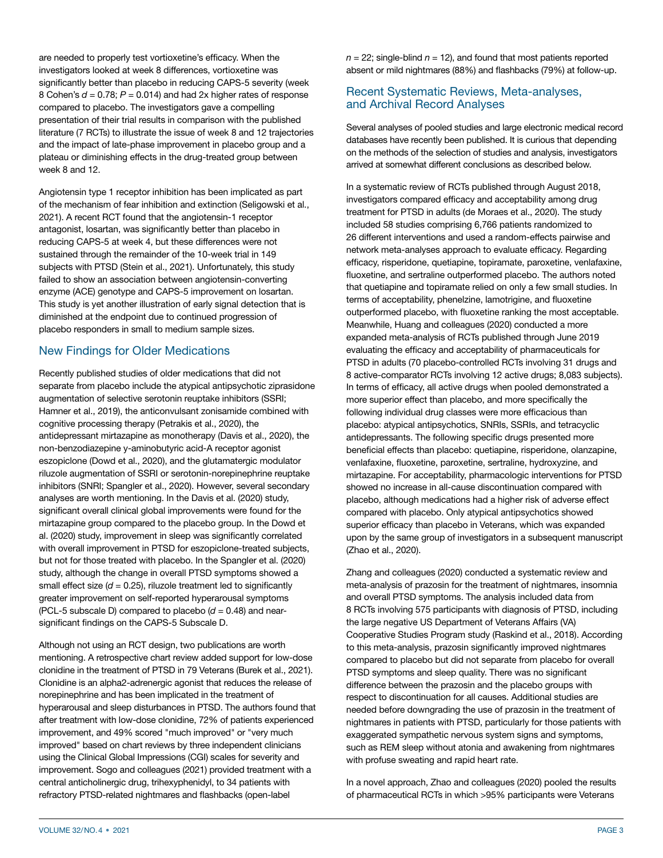are needed to properly test vortioxetine's efficacy. When the investigators looked at week 8 differences, vortioxetine was significantly better than placebo in reducing CAPS-5 severity (week 8 Cohen's  $d = 0.78$ ;  $P = 0.014$ ) and had 2x higher rates of response compared to placebo. The investigators gave a compelling presentation of their trial results in comparison with the published literature (7 RCTs) to illustrate the issue of week 8 and 12 trajectories and the impact of late-phase improvement in placebo group and a plateau or diminishing effects in the drug-treated group between week 8 and 12.

Angiotensin type 1 receptor inhibition has been implicated as part of the mechanism of fear inhibition and extinction (Seligowski et al., 2021). A recent RCT found that the angiotensin-1 receptor antagonist, losartan, was significantly better than placebo in reducing CAPS-5 at week 4, but these differences were not sustained through the remainder of the 10-week trial in 149 subjects with PTSD (Stein et al., 2021). Unfortunately, this study failed to show an association between angiotensin-converting enzyme (ACE) genotype and CAPS-5 improvement on losartan. This study is yet another illustration of early signal detection that is diminished at the endpoint due to continued progression of placebo responders in small to medium sample sizes.

## New Findings for Older Medications

Recently published studies of older medications that did not separate from placebo include the atypical antipsychotic ziprasidone augmentation of selective serotonin reuptake inhibitors (SSRI; Hamner et al., 2019), the anticonvulsant zonisamide combined with cognitive processing therapy (Petrakis et al., 2020), the antidepressant mirtazapine as monotherapy (Davis et al., 2020), the non-benzodiazepine y-aminobutyric acid-A receptor agonist eszopiclone (Dowd et al., 2020), and the glutamatergic modulator riluzole augmentation of SSRI or serotonin-norepinephrine reuptake inhibitors (SNRI; Spangler et al., 2020). However, several secondary analyses are worth mentioning. In the Davis et al. (2020) study, significant overall clinical global improvements were found for the mirtazapine group compared to the placebo group. In the Dowd et al. (2020) study, improvement in sleep was significantly correlated with overall improvement in PTSD for eszopiclone-treated subjects, but not for those treated with placebo. In the Spangler et al. (2020) study, although the change in overall PTSD symptoms showed a small effect size  $(d = 0.25)$ , riluzole treatment led to significantly greater improvement on self-reported hyperarousal symptoms (PCL-5 subscale D) compared to placebo  $(d = 0.48)$  and nearsignificant findings on the CAPS-5 Subscale D.

Although not using an RCT design, two publications are worth mentioning. A retrospective chart review added support for low-dose clonidine in the treatment of PTSD in 79 Veterans (Burek et al., 2021). Clonidine is an alpha2-adrenergic agonist that reduces the release of norepinephrine and has been implicated in the treatment of hyperarousal and sleep disturbances in PTSD. The authors found that after treatment with low-dose clonidine, 72% of patients experienced improvement, and 49% scored "much improved" or "very much improved" based on chart reviews by three independent clinicians using the Clinical Global Impressions (CGI) scales for severity and improvement. Sogo and colleagues (2021) provided treatment with a central anticholinergic drug, trihexyphenidyl, to 34 patients with refractory PTSD-related nightmares and flashbacks (open-label

 $n = 22$ ; single-blind  $n = 12$ ), and found that most patients reported absent or mild nightmares (88%) and flashbacks (79%) at follow-up.

## Recent Systematic Reviews, Meta-analyses, and Archival Record Analyses

Several analyses of pooled studies and large electronic medical record databases have recently been published. It is curious that depending on the methods of the selection of studies and analysis, investigators arrived at somewhat different conclusions as described below.

In a systematic review of RCTs published through August 2018, investigators compared efficacy and acceptability among drug treatment for PTSD in adults (de Moraes et al., 2020). The study included 58 studies comprising 6,766 patients randomized to 26 different interventions and used a random-effects pairwise and network meta-analyses approach to evaluate efficacy. Regarding efficacy, risperidone, quetiapine, topiramate, paroxetine, venlafaxine, fluoxetine, and sertraline outperformed placebo. The authors noted that quetiapine and topiramate relied on only a few small studies. In terms of acceptability, phenelzine, lamotrigine, and fluoxetine outperformed placebo, with fluoxetine ranking the most acceptable. Meanwhile, Huang and colleagues (2020) conducted a more expanded meta-analysis of RCTs published through June 2019 evaluating the efficacy and acceptability of pharmaceuticals for PTSD in adults (70 placebo-controlled RCTs involving 31 drugs and 8 active-comparator RCTs involving 12 active drugs; 8,083 subjects). In terms of efficacy, all active drugs when pooled demonstrated a more superior effect than placebo, and more specifically the following individual drug classes were more efficacious than placebo: atypical antipsychotics, SNRIs, SSRIs, and tetracyclic antidepressants. The following specific drugs presented more beneficial effects than placebo: quetiapine, risperidone, olanzapine, venlafaxine, fluoxetine, paroxetine, sertraline, hydroxyzine, and mirtazapine. For acceptability, pharmacologic interventions for PTSD showed no increase in all-cause discontinuation compared with placebo, although medications had a higher risk of adverse effect compared with placebo. Only atypical antipsychotics showed superior efficacy than placebo in Veterans, which was expanded upon by the same group of investigators in a subsequent manuscript (Zhao et al., 2020).

Zhang and colleagues (2020) conducted a systematic review and meta-analysis of prazosin for the treatment of nightmares, insomnia and overall PTSD symptoms. The analysis included data from 8 RCTs involving 575 participants with diagnosis of PTSD, including the large negative US Department of Veterans Affairs (VA) Cooperative Studies Program study (Raskind et al., 2018). According to this meta-analysis, prazosin significantly improved nightmares compared to placebo but did not separate from placebo for overall PTSD symptoms and sleep quality. There was no significant difference between the prazosin and the placebo groups with respect to discontinuation for all causes. Additional studies are needed before downgrading the use of prazosin in the treatment of nightmares in patients with PTSD, particularly for those patients with exaggerated sympathetic nervous system signs and symptoms, such as REM sleep without atonia and awakening from nightmares with profuse sweating and rapid heart rate.

In a novel approach, Zhao and colleagues (2020) pooled the results of pharmaceutical RCTs in which >95% participants were Veterans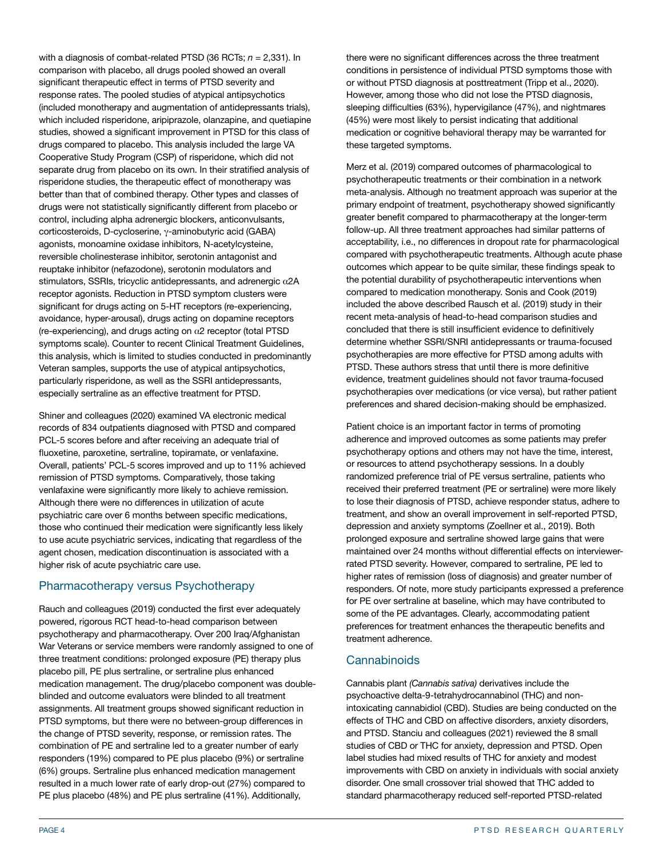with a diagnosis of combat-related PTSD (36 RCTs:  $n = 2.331$ ). In comparison with placebo, all drugs pooled showed an overall significant therapeutic effect in terms of PTSD severity and response rates. The pooled studies of atypical antipsychotics (included monotherapy and augmentation of antidepressants trials), which included risperidone, aripiprazole, olanzapine, and quetiapine studies, showed a significant improvement in PTSD for this class of drugs compared to placebo. This analysis included the large VA Cooperative Study Program (CSP) of risperidone, which did not separate drug from placebo on its own. In their stratified analysis of risperidone studies, the therapeutic effect of monotherapy was better than that of combined therapy. Other types and classes of drugs were not statistically significantly different from placebo or control, including alpha adrenergic blockers, anticonvulsants, corticosteroids, D-cycloserine, γ-aminobutyric acid (GABA) agonists, monoamine oxidase inhibitors, N-acetylcysteine, reversible cholinesterase inhibitor, serotonin antagonist and reuptake inhibitor (nefazodone), serotonin modulators and stimulators, SSRIs, tricyclic antidepressants, and adrenergic α2A receptor agonists. Reduction in PTSD symptom clusters were significant for drugs acting on 5-HT receptors (re-experiencing, avoidance, hyper-arousal), drugs acting on dopamine receptors (re-experiencing), and drugs acting on  $\alpha$ 2 receptor (total PTSD symptoms scale). Counter to recent Clinical Treatment Guidelines, this analysis, which is limited to studies conducted in predominantly Veteran samples, supports the use of atypical antipsychotics, particularly risperidone, as well as the SSRI antidepressants, especially sertraline as an effective treatment for PTSD.

Shiner and colleagues (2020) examined VA electronic medical records of 834 outpatients diagnosed with PTSD and compared PCL-5 scores before and after receiving an adequate trial of fluoxetine, paroxetine, sertraline, topiramate, or venlafaxine. Overall, patients' PCL-5 scores improved and up to 11% achieved remission of PTSD symptoms. Comparatively, those taking venlafaxine were significantly more likely to achieve remission. Although there were no differences in utilization of acute psychiatric care over 6 months between specific medications, those who continued their medication were significantly less likely to use acute psychiatric services, indicating that regardless of the agent chosen, medication discontinuation is associated with a higher risk of acute psychiatric care use.

# Pharmacotherapy versus Psychotherapy

Rauch and colleagues (2019) conducted the first ever adequately powered, rigorous RCT head-to-head comparison between psychotherapy and pharmacotherapy. Over 200 Iraq/Afghanistan War Veterans or service members were randomly assigned to one of three treatment conditions: prolonged exposure (PE) therapy plus placebo pill, PE plus sertraline, or sertraline plus enhanced medication management. The drug/placebo component was doubleblinded and outcome evaluators were blinded to all treatment assignments. All treatment groups showed significant reduction in PTSD symptoms, but there were no between-group differences in the change of PTSD severity, response, or remission rates. The combination of PE and sertraline led to a greater number of early responders (19%) compared to PE plus placebo (9%) or sertraline (6%) groups. Sertraline plus enhanced medication management resulted in a much lower rate of early drop-out (27%) compared to PE plus placebo (48%) and PE plus sertraline (41%). Additionally,

there were no significant differences across the three treatment conditions in persistence of individual PTSD symptoms those with or without PTSD diagnosis at posttreatment (Tripp et al., 2020). However, among those who did not lose the PTSD diagnosis, sleeping difficulties (63%), hypervigilance (47%), and nightmares (45%) were most likely to persist indicating that additional medication or cognitive behavioral therapy may be warranted for these targeted symptoms.

Merz et al. (2019) compared outcomes of pharmacological to psychotherapeutic treatments or their combination in a network meta-analysis. Although no treatment approach was superior at the primary endpoint of treatment, psychotherapy showed significantly greater benefit compared to pharmacotherapy at the longer-term follow-up. All three treatment approaches had similar patterns of acceptability, i.e., no differences in dropout rate for pharmacological compared with psychotherapeutic treatments. Although acute phase outcomes which appear to be quite similar, these findings speak to the potential durability of psychotherapeutic interventions when compared to medication monotherapy. Sonis and Cook (2019) included the above described Rausch et al. (2019) study in their recent meta-analysis of head-to-head comparison studies and concluded that there is still insufficient evidence to definitively determine whether SSRI/SNRI antidepressants or trauma-focused psychotherapies are more effective for PTSD among adults with PTSD. These authors stress that until there is more definitive evidence, treatment guidelines should not favor trauma-focused psychotherapies over medications (or vice versa), but rather patient preferences and shared decision-making should be emphasized.

Patient choice is an important factor in terms of promoting adherence and improved outcomes as some patients may prefer psychotherapy options and others may not have the time, interest, or resources to attend psychotherapy sessions. In a doubly randomized preference trial of PE versus sertraline, patients who received their preferred treatment (PE or sertraline) were more likely to lose their diagnosis of PTSD, achieve responder status, adhere to treatment, and show an overall improvement in self-reported PTSD, depression and anxiety symptoms (Zoellner et al., 2019). Both prolonged exposure and sertraline showed large gains that were maintained over 24 months without differential effects on interviewerrated PTSD severity. However, compared to sertraline, PE led to higher rates of remission (loss of diagnosis) and greater number of responders. Of note, more study participants expressed a preference for PE over sertraline at baseline, which may have contributed to some of the PE advantages. Clearly, accommodating patient preferences for treatment enhances the therapeutic benefits and treatment adherence.

# **Cannabinoids**

Cannabis plant *(Cannabis sativa)* derivatives include the psychoactive delta-9-tetrahydrocannabinol (THC) and nonintoxicating cannabidiol (CBD). Studies are being conducted on the effects of THC and CBD on affective disorders, anxiety disorders, and PTSD. Stanciu and colleagues (2021) reviewed the 8 small studies of CBD or THC for anxiety, depression and PTSD. Open label studies had mixed results of THC for anxiety and modest improvements with CBD on anxiety in individuals with social anxiety disorder. One small crossover trial showed that THC added to standard pharmacotherapy reduced self-reported PTSD-related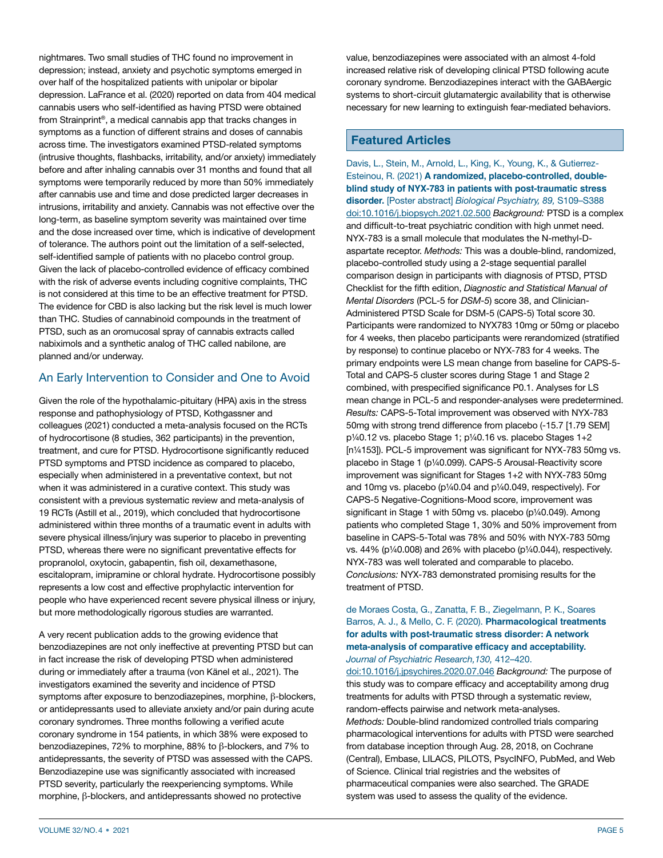nightmares. Two small studies of THC found no improvement in depression; instead, anxiety and psychotic symptoms emerged in over half of the hospitalized patients with unipolar or bipolar depression. LaFrance et al. (2020) reported on data from 404 medical cannabis users who self-identified as having PTSD were obtained from Strainprint®, a medical cannabis app that tracks changes in symptoms as a function of different strains and doses of cannabis across time. The investigators examined PTSD-related symptoms (intrusive thoughts, flashbacks, irritability, and/or anxiety) immediately before and after inhaling cannabis over 31 months and found that all symptoms were temporarily reduced by more than 50% immediately after cannabis use and time and dose predicted larger decreases in intrusions, irritability and anxiety. Cannabis was not effective over the long-term, as baseline symptom severity was maintained over time and the dose increased over time, which is indicative of development of tolerance. The authors point out the limitation of a self-selected, self-identified sample of patients with no placebo control group. Given the lack of placebo-controlled evidence of efficacy combined with the risk of adverse events including cognitive complaints, THC is not considered at this time to be an effective treatment for PTSD. The evidence for CBD is also lacking but the risk level is much lower than THC. Studies of cannabinoid compounds in the treatment of PTSD, such as an oromucosal spray of cannabis extracts called nabiximols and a synthetic analog of THC called nabilone, are planned and/or underway.

# An Early Intervention to Consider and One to Avoid

Given the role of the hypothalamic-pituitary (HPA) axis in the stress response and pathophysiology of PTSD, Kothgassner and colleagues (2021) conducted a meta-analysis focused on the RCTs of hydrocortisone (8 studies, 362 participants) in the prevention, treatment, and cure for PTSD. Hydrocortisone significantly reduced PTSD symptoms and PTSD incidence as compared to placebo, especially when administered in a preventative context, but not when it was administered in a curative context. This study was consistent with a previous systematic review and meta-analysis of 19 RCTs (Astill et al., 2019), which concluded that hydrocortisone administered within three months of a traumatic event in adults with severe physical illness/injury was superior to placebo in preventing PTSD, whereas there were no significant preventative effects for propranolol, oxytocin, gabapentin, fish oil, dexamethasone, escitalopram, imipramine or chloral hydrate. Hydrocortisone possibly represents a low cost and effective prophylactic intervention for people who have experienced recent severe physical illness or injury, but more methodologically rigorous studies are warranted.

A very recent publication adds to the growing evidence that benzodiazepines are not only ineffective at preventing PTSD but can in fact increase the risk of developing PTSD when administered during or immediately after a trauma (von Känel et al., 2021). The investigators examined the severity and incidence of PTSD symptoms after exposure to benzodiazepines, morphine, β-blockers, or antidepressants used to alleviate anxiety and/or pain during acute coronary syndromes. Three months following a verified acute coronary syndrome in 154 patients, in which 38% were exposed to benzodiazepines, 72% to morphine, 88% to β-blockers, and 7% to antidepressants, the severity of PTSD was assessed with the CAPS. Benzodiazepine use was significantly associated with increased PTSD severity, particularly the reexperiencing symptoms. While morphine, β-blockers, and antidepressants showed no protective

value, benzodiazepines were associated with an almost 4-fold increased relative risk of developing clinical PTSD following acute coronary syndrome. Benzodiazepines interact with the GABAergic systems to short-circuit glutamatergic availability that is otherwise necessary for new learning to extinguish fear-mediated behaviors.

## **Featured Articles**

Davis, L., Stein, M., Arnold, L., King, K., Young, K., & Gutierrez-Esteinou, R. (2021) **A randomized, placebo-controlled, doubleblind study of NYX-783 in patients with post-traumatic stress disorder.** [Poster abstract] *Biological Psychiatry, 89,* S109–S388 [doi:10.1016/j.biopsych.2021.02.500](https://doi.org/10.1016/j.biopsych.2021.02.500) *Background:* PTSD is a complex and difficult-to-treat psychiatric condition with high unmet need. NYX-783 is a small molecule that modulates the N-methyl-Daspartate receptor. *Methods:* This was a double-blind, randomized, placebo-controlled study using a 2-stage sequential parallel comparison design in participants with diagnosis of PTSD, PTSD Checklist for the fifth edition, *Diagnostic and Statistical Manual of Mental Disorders* (PCL-5 for *DSM-5*) score 38, and Clinician-Administered PTSD Scale for DSM-5 (CAPS-5) Total score 30. Participants were randomized to NYX783 10mg or 50mg or placebo for 4 weeks, then placebo participants were rerandomized (stratified by response) to continue placebo or NYX-783 for 4 weeks. The primary endpoints were LS mean change from baseline for CAPS-5- Total and CAPS-5 cluster scores during Stage 1 and Stage 2 combined, with prespecified significance P0.1. Analyses for LS mean change in PCL-5 and responder-analyses were predetermined. *Results:* CAPS-5-Total improvement was observed with NYX-783 50mg with strong trend difference from placebo (-15.7 [1.79 SEM] p¼0.12 vs. placebo Stage 1; p¼0.16 vs. placebo Stages 1+2 [n¼153]). PCL-5 improvement was significant for NYX-783 50mg vs. placebo in Stage 1 (p¼0.099). CAPS-5 Arousal-Reactivity score improvement was significant for Stages 1+2 with NYX-783 50mg and 10mg vs. placebo (p¼0.04 and p¼0.049, respectively). For CAPS-5 Negative-Cognitions-Mood score, improvement was significant in Stage 1 with 50mg vs. placebo (p1/40.049). Among patients who completed Stage 1, 30% and 50% improvement from baseline in CAPS-5-Total was 78% and 50% with NYX-783 50mg vs. 44% (p¼0.008) and 26% with placebo (p¼0.044), respectively. NYX-783 was well tolerated and comparable to placebo. *Conclusions:* NYX-783 demonstrated promising results for the treatment of PTSD.

#### de Moraes Costa, G., Zanatta, F. B., Ziegelmann, P. K., Soares Barros, A. J., & Mello, C. F. (2020). **Pharmacological treatments for adults with post-traumatic stress disorder: A network meta-analysis of comparative efficacy and acceptability.**  *Journal of Psychiatric Research,130,* 412–420.

[doi:10.1016/j.jpsychires.2020.07.046](https://doi.org/10.1016/j.jpsychires.2020.07.046) *Background:* The purpose of this study was to compare efficacy and acceptability among drug treatments for adults with PTSD through a systematic review, random-effects pairwise and network meta-analyses. *Methods:* Double-blind randomized controlled trials comparing pharmacological interventions for adults with PTSD were searched from database inception through Aug. 28, 2018, on Cochrane (Central), Embase, LILACS, PILOTS, PsycINFO, PubMed, and Web of Science. Clinical trial registries and the websites of pharmaceutical companies were also searched. The GRADE system was used to assess the quality of the evidence.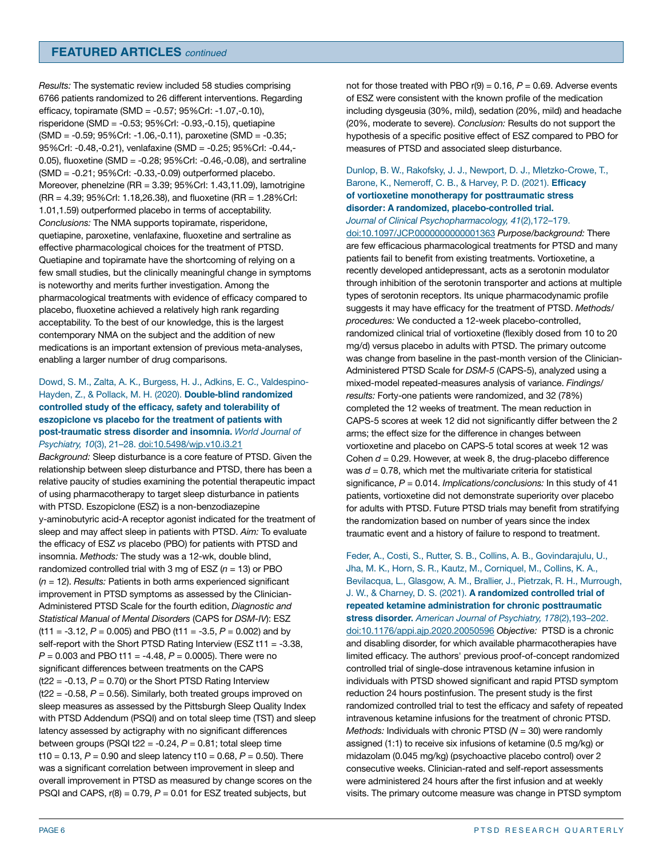*Results:* The systematic review included 58 studies comprising 6766 patients randomized to 26 different interventions. Regarding efficacy, topiramate (SMD = -0.57; 95%CrI: -1.07,-0.10), risperidone (SMD = -0.53; 95%CrI: -0.93,-0.15), quetiapine (SMD = -0.59; 95%CrI: -1.06,-0.11), paroxetine (SMD = -0.35; 95%CrI: -0.48,-0.21), venlafaxine (SMD = -0.25; 95%CrI: -0.44,- 0.05), fluoxetine (SMD = -0.28; 95%CrI: -0.46,-0.08), and sertraline (SMD = -0.21; 95%CrI: -0.33,-0.09) outperformed placebo. Moreover, phenelzine (RR = 3.39; 95%CrI: 1.43,11.09), lamotrigine (RR = 4.39; 95%CrI: 1.18,26.38), and fluoxetine (RR = 1.28%CrI: 1.01,1.59) outperformed placebo in terms of acceptability. *Conclusions:* The NMA supports topiramate, risperidone, quetiapine, paroxetine, venlafaxine, fluoxetine and sertraline as effective pharmacological choices for the treatment of PTSD. Quetiapine and topiramate have the shortcoming of relying on a few small studies, but the clinically meaningful change in symptoms is noteworthy and merits further investigation. Among the pharmacological treatments with evidence of efficacy compared to placebo, fluoxetine achieved a relatively high rank regarding acceptability. To the best of our knowledge, this is the largest contemporary NMA on the subject and the addition of new medications is an important extension of previous meta-analyses, enabling a larger number of drug comparisons.

#### Dowd, S. M., Zalta, A. K., Burgess, H. J., Adkins, E. C., Valdespino-Hayden, Z., & Pollack, M. H. (2020). **Double-blind randomized controlled study of the efficacy, safety and tolerability of eszopiclone vs placebo for the treatment of patients with post-traumatic stress disorder and insomnia.** *World Journal of Psychiatry, 10*(3), 21–28. [doi:10.5498/wjp.v10.i3.21](https://doi.org/10.5498/wjp.v10.i3.21)

*Background:* Sleep disturbance is a core feature of PTSD. Given the relationship between sleep disturbance and PTSD, there has been a relative paucity of studies examining the potential therapeutic impact of using pharmacotherapy to target sleep disturbance in patients with PTSD. Eszopiclone (ESZ) is a non-benzodiazepine y-aminobutyric acid-A receptor agonist indicated for the treatment of sleep and may affect sleep in patients with PTSD. *Aim:* To evaluate the efficacy of ESZ *vs* placebo (PBO) for patients with PTSD and insomnia. *Methods:* The study was a 12-wk, double blind, randomized controlled trial with 3 mg of ESZ  $(n = 13)$  or PBO (*n* = 12). *Results:* Patients in both arms experienced significant improvement in PTSD symptoms as assessed by the Clinician-Administered PTSD Scale for the fourth edition, *Diagnostic and Statistical Manual of Mental Disorders* (CAPS for *DSM-IV*): ESZ  $(t11 = -3.12, P = 0.005)$  and PBO  $(t11 = -3.5, P = 0.002)$  and by self-report with the Short PTSD Rating Interview (ESZ t11 = -3.38, *P* = 0.003 and PBO t11 = -4.48, *P* = 0.0005). There were no significant differences between treatments on the CAPS  $(t22 = -0.13, P = 0.70)$  or the Short PTSD Rating Interview  $(t22 = -0.58, P = 0.56)$ . Similarly, both treated groups improved on sleep measures as assessed by the Pittsburgh Sleep Quality Index with PTSD Addendum (PSQI) and on total sleep time (TST) and sleep latency assessed by actigraphy with no significant differences between groups (PSQI  $t22 = -0.24$ ,  $P = 0.81$ ; total sleep time  $t10 = 0.13$ ,  $P = 0.90$  and sleep latency  $t10 = 0.68$ ,  $P = 0.50$ ). There was a significant correlation between improvement in sleep and overall improvement in PTSD as measured by change scores on the PSQI and CAPS,  $r(8) = 0.79$ ,  $P = 0.01$  for ESZ treated subjects, but

not for those treated with PBO  $r(9) = 0.16$ ,  $P = 0.69$ . Adverse events of ESZ were consistent with the known profile of the medication including dysgeusia (30%, mild), sedation (20%, mild) and headache (20%, moderate to severe). *Conclusion:* Results do not support the hypothesis of a specific positive effect of ESZ compared to PBO for measures of PTSD and associated sleep disturbance.

### Dunlop, B. W., Rakofsky, J. J., Newport, D. J., Mletzko-Crowe, T., Barone, K., Nemeroff, C. B., & Harvey, P. D. (2021). **Efficacy of vortioxetine monotherapy for posttraumatic stress disorder: A randomized, placebo-controlled trial.**

*Journal of Clinical Psychopharmacology, 41*(2),172–179. [doi:10.1097/JCP.0000000000001363](https://doi.org/10.1097/JCP.0000000000001363) *Purpose/background:* There are few efficacious pharmacological treatments for PTSD and many patients fail to benefit from existing treatments. Vortioxetine, a recently developed antidepressant, acts as a serotonin modulator through inhibition of the serotonin transporter and actions at multiple types of serotonin receptors. Its unique pharmacodynamic profile suggests it may have efficacy for the treatment of PTSD. *Methods/ procedures:* We conducted a 12-week placebo-controlled, randomized clinical trial of vortioxetine (flexibly dosed from 10 to 20 mg/d) versus placebo in adults with PTSD. The primary outcome was change from baseline in the past-month version of the Clinician-Administered PTSD Scale for *DSM-5* (CAPS-5), analyzed using a mixed-model repeated-measures analysis of variance. *Findings/ results:* Forty-one patients were randomized, and 32 (78%) completed the 12 weeks of treatment. The mean reduction in CAPS-5 scores at week 12 did not significantly differ between the 2 arms; the effect size for the difference in changes between vortioxetine and placebo on CAPS-5 total scores at week 12 was Cohen *d* = 0.29. However, at week 8, the drug-placebo difference was  $d = 0.78$ , which met the multivariate criteria for statistical significance, *P* = 0.014. *Implications/conclusions:* In this study of 41 patients, vortioxetine did not demonstrate superiority over placebo for adults with PTSD. Future PTSD trials may benefit from stratifying the randomization based on number of years since the index traumatic event and a history of failure to respond to treatment.

Feder, A., Costi, S., Rutter, S. B., Collins, A. B., Govindarajulu, U., Jha, M. K., Horn, S. R., Kautz, M., Corniquel, M., Collins, K. A., Bevilacqua, L., Glasgow, A. M., Brallier, J., Pietrzak, R. H., Murrough, J. W., & Charney, D. S. (2021). **A randomized controlled trial of repeated ketamine administration for chronic posttraumatic stress disorder.** *American Journal of Psychiatry, 178*(2),193–202. [doi:10.1176/appi.ajp.2020.20050596](https://doi.org/10.1176/appi.ajp.2020.20050596) *Objective:* PTSD is a chronic and disabling disorder, for which available pharmacotherapies have limited efficacy. The authors' previous proof-of-concept randomized controlled trial of single-dose intravenous ketamine infusion in individuals with PTSD showed significant and rapid PTSD symptom reduction 24 hours postinfusion. The present study is the first randomized controlled trial to test the efficacy and safety of repeated intravenous ketamine infusions for the treatment of chronic PTSD. *Methods:* Individuals with chronic PTSD (*N* = 30) were randomly assigned (1:1) to receive six infusions of ketamine (0.5 mg/kg) or midazolam (0.045 mg/kg) (psychoactive placebo control) over 2 consecutive weeks. Clinician-rated and self-report assessments were administered 24 hours after the first infusion and at weekly visits. The primary outcome measure was change in PTSD symptom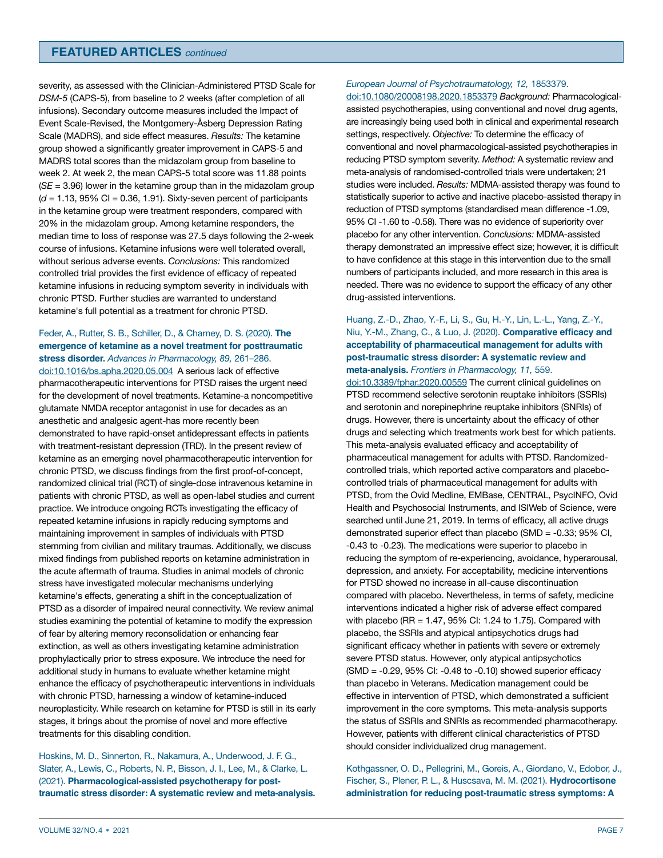## **FEATURED ARTICLES** *continued*

severity, as assessed with the Clinician-Administered PTSD Scale for *DSM-5* (CAPS-5), from baseline to 2 weeks (after completion of all infusions). Secondary outcome measures included the Impact of Event Scale-Revised, the Montgomery-Åsberg Depression Rating Scale (MADRS), and side effect measures. *Results:* The ketamine group showed a significantly greater improvement in CAPS-5 and MADRS total scores than the midazolam group from baseline to week 2. At week 2, the mean CAPS-5 total score was 11.88 points (*SE* = 3.96) lower in the ketamine group than in the midazolam group  $(d = 1.13, 95\% \text{ CI} = 0.36, 1.91)$ . Sixty-seven percent of participants in the ketamine group were treatment responders, compared with 20% in the midazolam group. Among ketamine responders, the median time to loss of response was 27.5 days following the 2-week course of infusions. Ketamine infusions were well tolerated overall, without serious adverse events. *Conclusions:* This randomized controlled trial provides the first evidence of efficacy of repeated ketamine infusions in reducing symptom severity in individuals with chronic PTSD. Further studies are warranted to understand ketamine's full potential as a treatment for chronic PTSD.

## Feder, A., Rutter, S. B., Schiller, D., & Charney, D. S. (2020). **The emergence of ketamine as a novel treatment for posttraumatic stress disorder.** *Advances in Pharmacology, 89,* 261–286.

[doi:10.1016/bs.apha.2020.05.004](https://doi.org/10.1016/bs.apha.2020.05.004) A serious lack of effective pharmacotherapeutic interventions for PTSD raises the urgent need for the development of novel treatments. Ketamine-a noncompetitive glutamate NMDA receptor antagonist in use for decades as an anesthetic and analgesic agent-has more recently been demonstrated to have rapid-onset antidepressant effects in patients with treatment-resistant depression (TRD). In the present review of ketamine as an emerging novel pharmacotherapeutic intervention for chronic PTSD, we discuss findings from the first proof-of-concept, randomized clinical trial (RCT) of single-dose intravenous ketamine in patients with chronic PTSD, as well as open-label studies and current practice. We introduce ongoing RCTs investigating the efficacy of repeated ketamine infusions in rapidly reducing symptoms and maintaining improvement in samples of individuals with PTSD stemming from civilian and military traumas. Additionally, we discuss mixed findings from published reports on ketamine administration in the acute aftermath of trauma. Studies in animal models of chronic stress have investigated molecular mechanisms underlying ketamine's effects, generating a shift in the conceptualization of PTSD as a disorder of impaired neural connectivity. We review animal studies examining the potential of ketamine to modify the expression of fear by altering memory reconsolidation or enhancing fear extinction, as well as others investigating ketamine administration prophylactically prior to stress exposure. We introduce the need for additional study in humans to evaluate whether ketamine might enhance the efficacy of psychotherapeutic interventions in individuals with chronic PTSD, harnessing a window of ketamine-induced neuroplasticity. While research on ketamine for PTSD is still in its early stages, it brings about the promise of novel and more effective treatments for this disabling condition.

Hoskins, M. D., Sinnerton, R., Nakamura, A., Underwood, J. F. G., Slater, A., Lewis, C., Roberts, N. P., Bisson, J. I., Lee, M., & Clarke, L. (2021). **Pharmacological-assisted psychotherapy for posttraumatic stress disorder: A systematic review and meta-analysis.** 

## *European Journal of Psychotraumatology, 12,* 1853379.

[doi:10.1080/20008198.2020.1853379](https://doi.org/10.1080/20008198.2020.1853379) *Background:* Pharmacologicalassisted psychotherapies, using conventional and novel drug agents, are increasingly being used both in clinical and experimental research settings, respectively. *Objective:* To determine the efficacy of conventional and novel pharmacological-assisted psychotherapies in reducing PTSD symptom severity. *Method:* A systematic review and meta-analysis of randomised-controlled trials were undertaken; 21 studies were included. *Results:* MDMA-assisted therapy was found to statistically superior to active and inactive placebo-assisted therapy in reduction of PTSD symptoms (standardised mean difference -1.09, 95% CI -1.60 to -0.58). There was no evidence of superiority over placebo for any other intervention. *Conclusions:* MDMA-assisted therapy demonstrated an impressive effect size; however, it is difficult to have confidence at this stage in this intervention due to the small numbers of participants included, and more research in this area is needed. There was no evidence to support the efficacy of any other drug-assisted interventions.

#### Huang, Z.-D., Zhao, Y.-F., Li, S., Gu, H.-Y., Lin, L.-L., Yang, Z.-Y., Niu, Y.-M., Zhang, C., & Luo, J. (2020). **Comparative efficacy and acceptability of pharmaceutical management for adults with post-traumatic stress disorder: A systematic review and meta-analysis.** *Frontiers in Pharmacology, 11,* 559.

[doi:10.3389/fphar.2020.00559](https://doi.org/10.3389/fphar.2020.00559) The current clinical guidelines on PTSD recommend selective serotonin reuptake inhibitors (SSRIs) and serotonin and norepinephrine reuptake inhibitors (SNRIs) of drugs. However, there is uncertainty about the efficacy of other drugs and selecting which treatments work best for which patients. This meta-analysis evaluated efficacy and acceptability of pharmaceutical management for adults with PTSD. Randomizedcontrolled trials, which reported active comparators and placebocontrolled trials of pharmaceutical management for adults with PTSD, from the Ovid Medline, EMBase, CENTRAL, PsycINFO, Ovid Health and Psychosocial Instruments, and ISIWeb of Science, were searched until June 21, 2019. In terms of efficacy, all active drugs demonstrated superior effect than placebo (SMD = -0.33; 95% CI, -0.43 to -0.23). The medications were superior to placebo in reducing the symptom of re-experiencing, avoidance, hyperarousal, depression, and anxiety. For acceptability, medicine interventions for PTSD showed no increase in all-cause discontinuation compared with placebo. Nevertheless, in terms of safety, medicine interventions indicated a higher risk of adverse effect compared with placebo (RR =  $1.47$ ,  $95\%$  CI:  $1.24$  to  $1.75$ ). Compared with placebo, the SSRIs and atypical antipsychotics drugs had significant efficacy whether in patients with severe or extremely severe PTSD status. However, only atypical antipsychotics  $(SMD = -0.29, 95\% \text{ Cl: } -0.48 \text{ to } -0.10)$  showed superior efficacy than placebo in Veterans. Medication management could be effective in intervention of PTSD, which demonstrated a sufficient improvement in the core symptoms. This meta-analysis supports the status of SSRIs and SNRIs as recommended pharmacotherapy. However, patients with different clinical characteristics of PTSD should consider individualized drug management.

Kothgassner, O. D., Pellegrini, M., Goreis, A., Giordano, V., Edobor, J., Fischer, S., Plener, P. L., & Huscsava, M. M. (2021). **Hydrocortisone administration for reducing post-traumatic stress symptoms: A**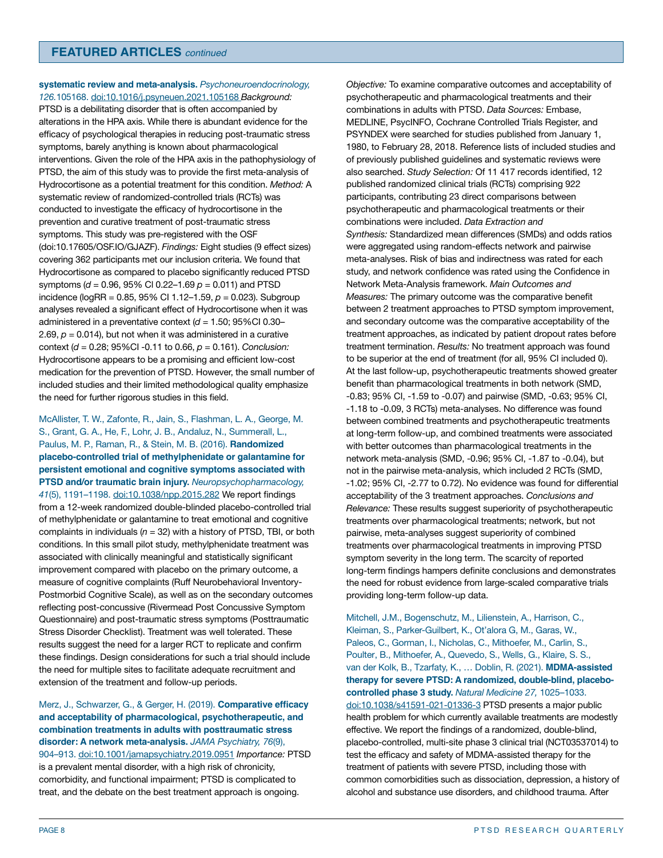#### **systematic review and meta-analysis.** *Psychoneuroendocrinology, 126.*105168. [doi:10.1016/j.psyneuen.2021.105168](https://doi.org/10.1016/j.psyneuen.2021.105168) *Background:*

PTSD is a debilitating disorder that is often accompanied by alterations in the HPA axis. While there is abundant evidence for the efficacy of psychological therapies in reducing post-traumatic stress symptoms, barely anything is known about pharmacological interventions. Given the role of the HPA axis in the pathophysiology of PTSD, the aim of this study was to provide the first meta-analysis of Hydrocortisone as a potential treatment for this condition. *Method:* A systematic review of randomized-controlled trials (RCTs) was conducted to investigate the efficacy of hydrocortisone in the prevention and curative treatment of post-traumatic stress symptoms. This study was pre-registered with the OSF (doi:10.17605/OSF.IO/GJAZF). *Findings:* Eight studies (9 effect sizes) covering 362 participants met our inclusion criteria. We found that Hydrocortisone as compared to placebo significantly reduced PTSD symptoms (*d* = 0.96, 95% Cl 0.22–1.69 *p* = 0.011) and PTSD incidence (logRR = 0.85, 95% CI 1.12–1.59, *p* = 0.023). Subgroup analyses revealed a significant effect of Hydrocortisone when it was administered in a preventative context (*d* = 1.50; 95%CI 0.30– 2.69,  $p = 0.014$ ), but not when it was administered in a curative context (*d* = 0.28; 95%CI -0.11 to 0.66, *p* = 0.161). *Conclusion:* Hydrocortisone appears to be a promising and efficient low-cost medication for the prevention of PTSD. However, the small number of included studies and their limited methodological quality emphasize the need for further rigorous studies in this field.

McAllister, T. W., Zafonte, R., Jain, S., Flashman, L. A., George, M. S., Grant, G. A., He, F., Lohr, J. B., Andaluz, N., Summerall, L., Paulus, M. P., Raman, R., & Stein, M. B. (2016). **Randomized placebo-controlled trial of methylphenidate or galantamine for persistent emotional and cognitive symptoms associated with PTSD and/or traumatic brain injury.** *Neuropsychopharmacology, 41*(5), 1191–1198. [doi:10.1038/npp.2015.282](https://doi.org/10.1038/npp.2015.282) We report findings from a 12-week randomized double-blinded placebo-controlled trial of methylphenidate or galantamine to treat emotional and cognitive complaints in individuals (*n* = 32) with a history of PTSD, TBI, or both conditions. In this small pilot study, methylphenidate treatment was associated with clinically meaningful and statistically significant improvement compared with placebo on the primary outcome, a measure of cognitive complaints (Ruff Neurobehavioral Inventory-Postmorbid Cognitive Scale), as well as on the secondary outcomes reflecting post-concussive (Rivermead Post Concussive Symptom Questionnaire) and post-traumatic stress symptoms (Posttraumatic Stress Disorder Checklist). Treatment was well tolerated. These results suggest the need for a larger RCT to replicate and confirm these findings. Design considerations for such a trial should include the need for multiple sites to facilitate adequate recruitment and extension of the treatment and follow-up periods.

Merz, J., Schwarzer, G., & Gerger, H. (2019). **Comparative efficacy and acceptability of pharmacological, psychotherapeutic, and combination treatments in adults with posttraumatic stress disorder: A network meta-analysis.** *JAMA Psychiatry, 76*(9), 904–913. [doi:10.1001/jamapsychiatry.2019.0951](https://doi.org/10.1001/jamapsychiatry.2019.0951) *Importance:* PTSD is a prevalent mental disorder, with a high risk of chronicity, comorbidity, and functional impairment; PTSD is complicated to treat, and the debate on the best treatment approach is ongoing.

*Objective:* To examine comparative outcomes and acceptability of psychotherapeutic and pharmacological treatments and their combinations in adults with PTSD. *Data Sources:* Embase, MEDLINE, PsycINFO, Cochrane Controlled Trials Register, and PSYNDEX were searched for studies published from January 1, 1980, to February 28, 2018. Reference lists of included studies and of previously published guidelines and systematic reviews were also searched. *Study Selection:* Of 11 417 records identified, 12 published randomized clinical trials (RCTs) comprising 922 participants, contributing 23 direct comparisons between psychotherapeutic and pharmacological treatments or their combinations were included. *Data Extraction and Synthesis:* Standardized mean differences (SMDs) and odds ratios were aggregated using random-effects network and pairwise meta-analyses. Risk of bias and indirectness was rated for each study, and network confidence was rated using the Confidence in Network Meta-Analysis framework. *Main Outcomes and Measures:* The primary outcome was the comparative benefit between 2 treatment approaches to PTSD symptom improvement, and secondary outcome was the comparative acceptability of the treatment approaches, as indicated by patient dropout rates before treatment termination. *Results:* No treatment approach was found to be superior at the end of treatment (for all, 95% CI included 0). At the last follow-up, psychotherapeutic treatments showed greater benefit than pharmacological treatments in both network (SMD, -0.83; 95% CI, -1.59 to -0.07) and pairwise (SMD, -0.63; 95% CI, -1.18 to -0.09, 3 RCTs) meta-analyses. No difference was found between combined treatments and psychotherapeutic treatments at long-term follow-up, and combined treatments were associated with better outcomes than pharmacological treatments in the network meta-analysis (SMD, -0.96; 95% CI, -1.87 to -0.04), but not in the pairwise meta-analysis, which included 2 RCTs (SMD, -1.02; 95% CI, -2.77 to 0.72). No evidence was found for differential acceptability of the 3 treatment approaches. *Conclusions and Relevance:* These results suggest superiority of psychotherapeutic treatments over pharmacological treatments; network, but not pairwise, meta-analyses suggest superiority of combined treatments over pharmacological treatments in improving PTSD symptom severity in the long term. The scarcity of reported long-term findings hampers definite conclusions and demonstrates the need for robust evidence from large-scaled comparative trials providing long-term follow-up data.

Mitchell, J.M., Bogenschutz, M., Lilienstein, A., Harrison, C., Kleiman, S., Parker-Guilbert, K., Ot'alora G, M., Garas, W., Paleos, C., Gorman, I., Nicholas, C., Mithoefer, M., Carlin, S., Poulter, B., Mithoefer, A., Quevedo, S., Wells, G., Klaire, S. S., van der Kolk, B., Tzarfaty, K., … Doblin, R. (2021). **MDMA-assisted therapy for severe PTSD: A randomized, double-blind, placebocontrolled phase 3 study.** *Natural Medicine 27,* 1025–1033. [doi:10.1038/s41591-021-01336-3](https://doi.org/10.1038/s41591-021-01336-3) PTSD presents a major public health problem for which currently available treatments are modestly effective. We report the findings of a randomized, double-blind, placebo-controlled, multi-site phase 3 clinical trial (NCT03537014) to test the efficacy and safety of MDMA-assisted therapy for the treatment of patients with severe PTSD, including those with common comorbidities such as dissociation, depression, a history of alcohol and substance use disorders, and childhood trauma. After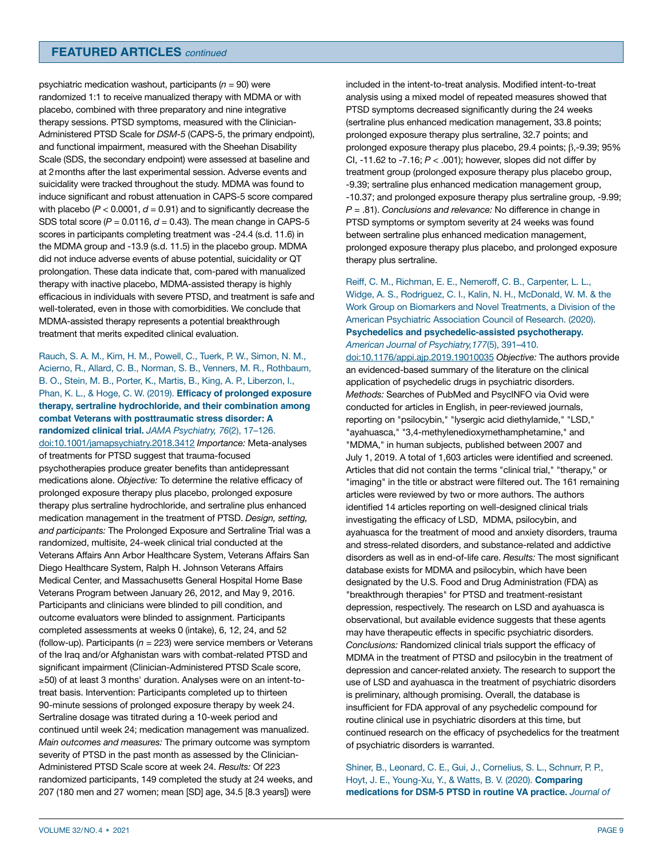psychiatric medication washout, participants (*n* = 90) were randomized 1:1 to receive manualized therapy with MDMA or with placebo, combined with three preparatory and nine integrative therapy sessions. PTSD symptoms, measured with the Clinician-Administered PTSD Scale for *DSM-5* (CAPS-5, the primary endpoint), and functional impairment, measured with the Sheehan Disability Scale (SDS, the secondary endpoint) were assessed at baseline and at 2months after the last experimental session. Adverse events and suicidality were tracked throughout the study. MDMA was found to induce significant and robust attenuation in CAPS-5 score compared with placebo ( $P < 0.0001$ ,  $d = 0.91$ ) and to significantly decrease the SDS total score  $(P = 0.0116, d = 0.43)$ . The mean change in CAPS-5 scores in participants completing treatment was -24.4 (s.d. 11.6) in the MDMA group and -13.9 (s.d. 11.5) in the placebo group. MDMA did not induce adverse events of abuse potential, suicidality or QT prolongation. These data indicate that, com-pared with manualized therapy with inactive placebo, MDMA-assisted therapy is highly efficacious in individuals with severe PTSD, and treatment is safe and well-tolerated, even in those with comorbidities. We conclude that MDMA-assisted therapy represents a potential breakthrough treatment that merits expedited clinical evaluation.

Rauch, S. A. M., Kim, H. M., Powell, C., Tuerk, P. W., Simon, N. M., Acierno, R., Allard, C. B., Norman, S. B., Venners, M. R., Rothbaum, B. O., Stein, M. B., Porter, K., Martis, B., King, A. P., Liberzon, I., Phan, K. L., & Hoge, C. W. (2019). **Efficacy of prolonged exposure therapy, sertraline hydrochloride, and their combination among combat Veterans with posttraumatic stress disorder: A randomized clinical trial.** *JAMA Psychiatry, 76*(2), 17–126. [doi:10.1001/jamapsychiatry.2018.3412](https://doi.org/10.1001/jamapsychiatry.2018.3412) *Importance:* Meta-analyses of treatments for PTSD suggest that trauma-focused psychotherapies produce greater benefits than antidepressant medications alone. *Objective:* To determine the relative efficacy of prolonged exposure therapy plus placebo, prolonged exposure therapy plus sertraline hydrochloride, and sertraline plus enhanced medication management in the treatment of PTSD. *Design, setting, and participants:* The Prolonged Exposure and Sertraline Trial was a randomized, multisite, 24-week clinical trial conducted at the Veterans Affairs Ann Arbor Healthcare System, Veterans Affairs San Diego Healthcare System, Ralph H. Johnson Veterans Affairs Medical Center, and Massachusetts General Hospital Home Base Veterans Program between January 26, 2012, and May 9, 2016. Participants and clinicians were blinded to pill condition, and outcome evaluators were blinded to assignment. Participants completed assessments at weeks 0 (intake), 6, 12, 24, and 52 (follow-up). Participants (*n* = 223) were service members or Veterans of the Iraq and/or Afghanistan wars with combat-related PTSD and significant impairment (Clinician-Administered PTSD Scale score, ≥50) of at least 3 months' duration. Analyses were on an intent-totreat basis. Intervention: Participants completed up to thirteen 90-minute sessions of prolonged exposure therapy by week 24. Sertraline dosage was titrated during a 10-week period and continued until week 24; medication management was manualized. *Main outcomes and measures:* The primary outcome was symptom severity of PTSD in the past month as assessed by the Clinician-Administered PTSD Scale score at week 24. *Results:* Of 223 randomized participants, 149 completed the study at 24 weeks, and 207 (180 men and 27 women; mean [SD] age, 34.5 [8.3 years]) were

included in the intent-to-treat analysis. Modified intent-to-treat analysis using a mixed model of repeated measures showed that PTSD symptoms decreased significantly during the 24 weeks (sertraline plus enhanced medication management, 33.8 points; prolonged exposure therapy plus sertraline, 32.7 points; and prolonged exposure therapy plus placebo, 29.4 points; β,-9.39; 95% CI, -11.62 to -7.16; *P* < .001); however, slopes did not differ by treatment group (prolonged exposure therapy plus placebo group, -9.39; sertraline plus enhanced medication management group, -10.37; and prolonged exposure therapy plus sertraline group, -9.99; *P* = .81). *Conclusions and relevance:* No difference in change in PTSD symptoms or symptom severity at 24 weeks was found between sertraline plus enhanced medication management, prolonged exposure therapy plus placebo, and prolonged exposure therapy plus sertraline.

Reiff, C. M., Richman, E. E., Nemeroff, C. B., Carpenter, L. L., Widge, A. S., Rodriguez, C. I., Kalin, N. H., McDonald, W. M. & the Work Group on Biomarkers and Novel Treatments, a Division of the American Psychiatric Association Council of Research. (2020). **Psychedelics and psychedelic-assisted psychotherapy.**  *American Journal of Psychiatry,177*(5), 391–410.

[doi:10.1176/appi.ajp.2019.19010035](https://doi.org/10.1176/appi.ajp.2019.19010035) *Objective:* The authors provide an evidenced-based summary of the literature on the clinical application of psychedelic drugs in psychiatric disorders. *Methods:* Searches of PubMed and PsycINFO via Ovid were conducted for articles in English, in peer-reviewed journals, reporting on "psilocybin," "lysergic acid diethylamide," "LSD," "ayahuasca," "3,4-methylenedioxymethamphetamine," and "MDMA," in human subjects, published between 2007 and July 1, 2019. A total of 1,603 articles were identified and screened. Articles that did not contain the terms "clinical trial," "therapy," or "imaging" in the title or abstract were filtered out. The 161 remaining articles were reviewed by two or more authors. The authors identified 14 articles reporting on well-designed clinical trials investigating the efficacy of LSD, MDMA, psilocybin, and ayahuasca for the treatment of mood and anxiety disorders, trauma and stress-related disorders, and substance-related and addictive disorders as well as in end-of-life care. *Results:* The most significant database exists for MDMA and psilocybin, which have been designated by the U.S. Food and Drug Administration (FDA) as "breakthrough therapies" for PTSD and treatment-resistant depression, respectively. The research on LSD and ayahuasca is observational, but available evidence suggests that these agents may have therapeutic effects in specific psychiatric disorders. *Conclusions:* Randomized clinical trials support the efficacy of MDMA in the treatment of PTSD and psilocybin in the treatment of depression and cancer-related anxiety. The research to support the use of LSD and ayahuasca in the treatment of psychiatric disorders is preliminary, although promising. Overall, the database is insufficient for FDA approval of any psychedelic compound for routine clinical use in psychiatric disorders at this time, but continued research on the efficacy of psychedelics for the treatment of psychiatric disorders is warranted.

Shiner, B., Leonard, C. E., Gui, J., Cornelius, S. L., Schnurr, P. P., Hoyt, J. E., Young-Xu, Y., & Watts, B. V. (2020). **Comparing medications for DSM-5 PTSD in routine VA practice.** *Journal of*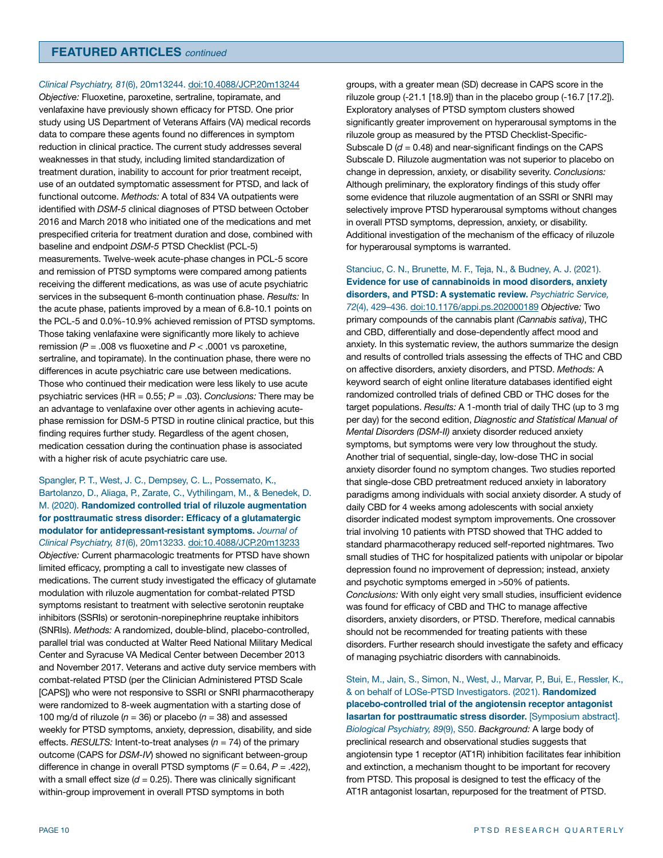## **FEATURED ARTICLES** *continued*

*Clinical Psychiatry, 81*(6), 20m13244. [doi:10.4088/JCP.20m13244](https://doi.org/10.4088/JCP.20m13244)

*Objective:* Fluoxetine, paroxetine, sertraline, topiramate, and venlafaxine have previously shown efficacy for PTSD. One prior study using US Department of Veterans Affairs (VA) medical records data to compare these agents found no differences in symptom reduction in clinical practice. The current study addresses several weaknesses in that study, including limited standardization of treatment duration, inability to account for prior treatment receipt, use of an outdated symptomatic assessment for PTSD, and lack of functional outcome. *Methods:* A total of 834 VA outpatients were identified with *DSM-5* clinical diagnoses of PTSD between October 2016 and March 2018 who initiated one of the medications and met prespecified criteria for treatment duration and dose, combined with baseline and endpoint *DSM-5* PTSD Checklist (PCL-5) measurements. Twelve-week acute-phase changes in PCL-5 score and remission of PTSD symptoms were compared among patients receiving the different medications, as was use of acute psychiatric services in the subsequent 6-month continuation phase. *Results:* In the acute phase, patients improved by a mean of 6.8-10.1 points on the PCL-5 and 0.0%-10.9% achieved remission of PTSD symptoms. Those taking venlafaxine were significantly more likely to achieve remission (*P* = .008 vs fluoxetine and *P* < .0001 vs paroxetine, sertraline, and topiramate). In the continuation phase, there were no differences in acute psychiatric care use between medications. Those who continued their medication were less likely to use acute psychiatric services (HR = 0.55; *P* = .03). *Conclusions:* There may be an advantage to venlafaxine over other agents in achieving acutephase remission for DSM-5 PTSD in routine clinical practice, but this finding requires further study. Regardless of the agent chosen, medication cessation during the continuation phase is associated with a higher risk of acute psychiatric care use.

Spangler, P. T., West, J. C., Dempsey, C. L., Possemato, K., Bartolanzo, D., Aliaga, P., Zarate, C., Vythilingam, M., & Benedek, D. M. (2020). **Randomized controlled trial of riluzole augmentation for posttraumatic stress disorder: Efficacy of a glutamatergic modulator for antidepressant-resistant symptoms.** *Journal of Clinical Psychiatry, 81*(6), 20m13233. [doi:10.4088/JCP.20m13233](https://doi.org/10.4088/JCP.20m13233) *Objective:* Current pharmacologic treatments for PTSD have shown limited efficacy, prompting a call to investigate new classes of medications. The current study investigated the efficacy of glutamate modulation with riluzole augmentation for combat-related PTSD symptoms resistant to treatment with selective serotonin reuptake inhibitors (SSRIs) or serotonin-norepinephrine reuptake inhibitors (SNRIs). *Methods:* A randomized, double-blind, placebo-controlled, parallel trial was conducted at Walter Reed National Military Medical Center and Syracuse VA Medical Center between December 2013 and November 2017. Veterans and active duty service members with combat-related PTSD (per the Clinician Administered PTSD Scale [CAPS]) who were not responsive to SSRI or SNRI pharmacotherapy were randomized to 8-week augmentation with a starting dose of 100 mg/d of riluzole ( $n = 36$ ) or placebo ( $n = 38$ ) and assessed weekly for PTSD symptoms, anxiety, depression, disability, and side effects. *RESULTS:* Intent-to-treat analyses (*n* = 74) of the primary outcome (CAPS for *DSM-IV*) showed no significant between-group difference in change in overall PTSD symptoms (*F* = 0.64, *P* = .422), with a small effect size  $(d = 0.25)$ . There was clinically significant within-group improvement in overall PTSD symptoms in both

groups, with a greater mean (SD) decrease in CAPS score in the riluzole group (-21.1 [18.9]) than in the placebo group (-16.7 [17.2]). Exploratory analyses of PTSD symptom clusters showed significantly greater improvement on hyperarousal symptoms in the riluzole group as measured by the PTSD Checklist-Specific-Subscale  $D$  ( $d = 0.48$ ) and near-significant findings on the CAPS Subscale D. Riluzole augmentation was not superior to placebo on change in depression, anxiety, or disability severity. *Conclusions:* Although preliminary, the exploratory findings of this study offer some evidence that riluzole augmentation of an SSRI or SNRI may selectively improve PTSD hyperarousal symptoms without changes in overall PTSD symptoms, depression, anxiety, or disability. Additional investigation of the mechanism of the efficacy of riluzole for hyperarousal symptoms is warranted.

Stanciuc, C. N., Brunette, M. F., Teja, N., & Budney, A. J. (2021). **Evidence for use of cannabinoids in mood disorders, anxiety disorders, and PTSD: A systematic review.** *Psychiatric Service, 72*(4), 429–436. [doi:10.1176/appi.ps.202000189](https://doi.org/10.1176/appi.ps.202000189) *Objective:* Two primary compounds of the cannabis plant *(Cannabis sativa)*, THC and CBD, differentially and dose-dependently affect mood and anxiety. In this systematic review, the authors summarize the design and results of controlled trials assessing the effects of THC and CBD on affective disorders, anxiety disorders, and PTSD. *Methods:* A keyword search of eight online literature databases identified eight randomized controlled trials of defined CBD or THC doses for the target populations. *Results:* A 1-month trial of daily THC (up to 3 mg per day) for the second edition, *Diagnostic and Statistical Manual of Mental Disorders (DSM-II)* anxiety disorder reduced anxiety symptoms, but symptoms were very low throughout the study. Another trial of sequential, single-day, low-dose THC in social anxiety disorder found no symptom changes. Two studies reported that single-dose CBD pretreatment reduced anxiety in laboratory paradigms among individuals with social anxiety disorder. A study of daily CBD for 4 weeks among adolescents with social anxiety disorder indicated modest symptom improvements. One crossover trial involving 10 patients with PTSD showed that THC added to standard pharmacotherapy reduced self-reported nightmares. Two small studies of THC for hospitalized patients with unipolar or bipolar depression found no improvement of depression; instead, anxiety and psychotic symptoms emerged in >50% of patients. *Conclusions:* With only eight very small studies, insufficient evidence was found for efficacy of CBD and THC to manage affective disorders, anxiety disorders, or PTSD. Therefore, medical cannabis should not be recommended for treating patients with these disorders. Further research should investigate the safety and efficacy of managing psychiatric disorders with cannabinoids.

Stein, M., Jain, S., Simon, N., West, J., Marvar, P., Bui, E., Ressler, K., & on behalf of LOSe-PTSD Investigators. (2021). **Randomized placebo-controlled trial of the angiotensin receptor antagonist lasartan for posttraumatic stress disorder.** [Symposium abstract]. *Biological Psychiatry, 89*(9), S50. *Background:* A large body of preclinical research and observational studies suggests that angiotensin type 1 receptor (AT1R) inhibition facilitates fear inhibition and extinction, a mechanism thought to be important for recovery from PTSD. This proposal is designed to test the efficacy of the AT1R antagonist losartan, repurposed for the treatment of PTSD.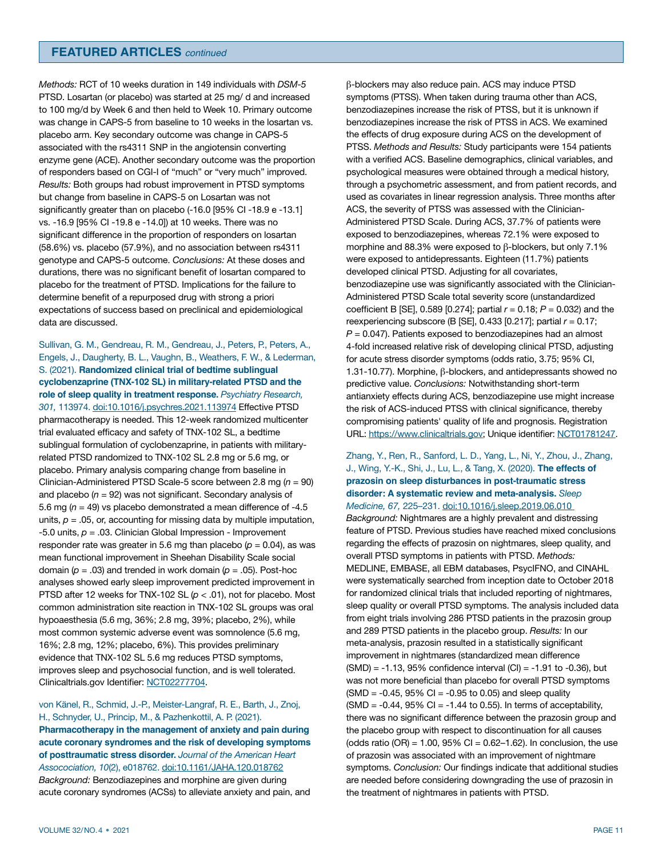*Methods:* RCT of 10 weeks duration in 149 individuals with *DSM-5* PTSD. Losartan (or placebo) was started at 25 mg/ d and increased to 100 mg/d by Week 6 and then held to Week 10. Primary outcome was change in CAPS-5 from baseline to 10 weeks in the losartan vs. placebo arm. Key secondary outcome was change in CAPS-5 associated with the rs4311 SNP in the angiotensin converting enzyme gene (ACE). Another secondary outcome was the proportion of responders based on CGI-I of "much" or "very much" improved. *Results:* Both groups had robust improvement in PTSD symptoms but change from baseline in CAPS-5 on Losartan was not significantly greater than on placebo (-16.0 [95% CI -18.9 e -13.1] vs. -16.9 [95% CI -19.8 e -14.0]) at 10 weeks. There was no significant difference in the proportion of responders on losartan (58.6%) vs. placebo (57.9%), and no association between rs4311 genotype and CAPS-5 outcome. *Conclusions:* At these doses and durations, there was no significant benefit of losartan compared to placebo for the treatment of PTSD. Implications for the failure to determine benefit of a repurposed drug with strong a priori expectations of success based on preclinical and epidemiological data are discussed.

Sullivan, G. M., Gendreau, R. M., Gendreau, J., Peters, P., Peters, A., Engels, J., Daugherty, B. L., Vaughn, B., Weathers, F. W., & Lederman, S. (2021). **Randomized clinical trial of bedtime sublingual cyclobenzaprine (TNX-102 SL) in military-related PTSD and the role of sleep quality in treatment response.** *Psychiatry Research, 301,* 113974. [doi:10.1016/j.psychres.2021.113974](https://doi.org/10.1016/j.psychres.2021.113974) Effective PTSD pharmacotherapy is needed. This 12-week randomized multicenter trial evaluated efficacy and safety of TNX-102 SL, a bedtime sublingual formulation of cyclobenzaprine, in patients with militaryrelated PTSD randomized to TNX-102 SL 2.8 mg or 5.6 mg, or placebo. Primary analysis comparing change from baseline in Clinician-Administered PTSD Scale-5 score between 2.8 mg (*n* = 90) and placebo (*n* = 92) was not significant. Secondary analysis of 5.6 mg (*n* = 49) vs placebo demonstrated a mean difference of -4.5 units,  $p = 0.05$ , or, accounting for missing data by multiple imputation, -5.0 units, *p* = .03. Clinician Global Impression - Improvement responder rate was greater in 5.6 mg than placebo  $(p = 0.04)$ , as was mean functional improvement in Sheehan Disability Scale social domain (*p* = .03) and trended in work domain (*p* = .05). Post-hoc analyses showed early sleep improvement predicted improvement in PTSD after 12 weeks for TNX-102 SL (*p* < .01), not for placebo. Most common administration site reaction in TNX-102 SL groups was oral hypoaesthesia (5.6 mg, 36%; 2.8 mg, 39%; placebo, 2%), while most common systemic adverse event was somnolence (5.6 mg, 16%; 2.8 mg, 12%; placebo, 6%). This provides preliminary evidence that TNX-102 SL 5.6 mg reduces PTSD symptoms, improves sleep and psychosocial function, and is well tolerated. Clinicaltrials.gov Identifier: [NCT02277704](http://clinicaltrials.gov/show/NCT02277704).

von Känel, R., Schmid, J.-P., Meister-Langraf, R. E., Barth, J., Znoj, H., Schnyder, U., Princip, M., & Pazhenkottil, A. P. (2021). **Pharmacotherapy in the management of anxiety and pain during acute coronary syndromes and the risk of developing symptoms of posttraumatic stress disorder.** *Journal of the American Heart Assocociation, 10*(2), e018762. [doi:10.1161/JAHA.120.018762](https://doi.org/10.1161/JAHA.120.018762) *Background:* Benzodiazepines and morphine are given during acute coronary syndromes (ACSs) to alleviate anxiety and pain, and

symptoms (PTSS). When taken during trauma other than ACS, benzodiazepines increase the risk of PTSS, but it is unknown if benzodiazepines increase the risk of PTSS in ACS. We examined the effects of drug exposure during ACS on the development of PTSS. *Methods and Results:* Study participants were 154 patients with a verified ACS. Baseline demographics, clinical variables, and psychological measures were obtained through a medical history, through a psychometric assessment, and from patient records, and used as covariates in linear regression analysis. Three months after ACS, the severity of PTSS was assessed with the Clinician-Administered PTSD Scale. During ACS, 37.7% of patients were exposed to benzodiazepines, whereas 72.1% were exposed to morphine and 88.3% were exposed to β-blockers, but only 7.1% were exposed to antidepressants. Eighteen (11.7%) patients developed clinical PTSD. Adjusting for all covariates, benzodiazepine use was significantly associated with the Clinician-Administered PTSD Scale total severity score (unstandardized coefficient B [SE], 0.589 [0.274]; partial *r* = 0.18; *P* = 0.032) and the reexperiencing subscore (B [SE], 0.433 [0.217]; partial *r* = 0.17; *P* = 0.047). Patients exposed to benzodiazepines had an almost 4-fold increased relative risk of developing clinical PTSD, adjusting for acute stress disorder symptoms (odds ratio, 3.75; 95% CI, 1.31-10.77). Morphine, β-blockers, and antidepressants showed no predictive value. *Conclusions:* Notwithstanding short-term antianxiety effects during ACS, benzodiazepine use might increase the risk of ACS-induced PTSS with clinical significance, thereby compromising patients' quality of life and prognosis. Registration URL: [https://www.clinicaltrials.gov;](10.1001/archpsyc) Unique identifier: [NCT01781247](http://clinicaltrials.gov/show/NCT01781247).

β-blockers may also reduce pain. ACS may induce PTSD

Zhang, Y., Ren, R., Sanford, L. D., Yang, L., Ni, Y., Zhou, J., Zhang, J., Wing, Y.-K., Shi, J., Lu, L., & Tang, X. (2020). **The effects of prazosin on sleep disturbances in post-traumatic stress disorder: A systematic review and meta-analysis.** *Sleep Medicine, 67,* 225–231. [doi:10.1016/j.sleep.2019.06.010](https://doi.org/10.1016/j.sleep.2019.06.010)

*Background:* Nightmares are a highly prevalent and distressing feature of PTSD. Previous studies have reached mixed conclusions regarding the effects of prazosin on nightmares, sleep quality, and overall PTSD symptoms in patients with PTSD. *Methods:* MEDLINE, EMBASE, all EBM databases, PsycIFNO, and CINAHL were systematically searched from inception date to October 2018 for randomized clinical trials that included reporting of nightmares, sleep quality or overall PTSD symptoms. The analysis included data from eight trials involving 286 PTSD patients in the prazosin group and 289 PTSD patients in the placebo group. *Results:* In our meta-analysis, prazosin resulted in a statistically significant improvement in nightmares (standardized mean difference (SMD) = -1.13, 95% confidence interval (CI) = -1.91 to -0.36), but was not more beneficial than placebo for overall PTSD symptoms  $(SMD = -0.45, 95\% CI = -0.95$  to 0.05) and sleep quality  $(SMD = -0.44, 95\% \text{ CI} = -1.44 \text{ to } 0.55)$ . In terms of acceptability, there was no significant difference between the prazosin group and the placebo group with respect to discontinuation for all causes (odds ratio (OR) =  $1.00$ ,  $95\%$  CI =  $0.62-1.62$ ). In conclusion, the use of prazosin was associated with an improvement of nightmare symptoms. *Conclusion:* Our findings indicate that additional studies are needed before considering downgrading the use of prazosin in the treatment of nightmares in patients with PTSD.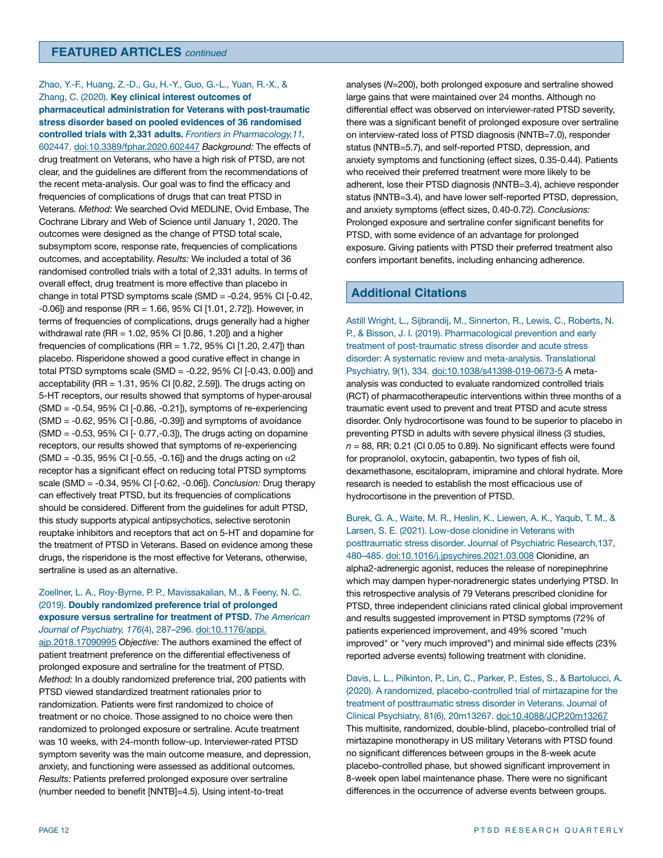Zhao, Y.-F., Huang, Z.-D., Gu, H.-Y., Guo, G.-L., Yuan, R.-X., & Zhang, C. (2020). **Key clinical interest outcomes of pharmaceutical administration for Veterans with post-traumatic stress disorder based on pooled evidences of 36 randomised controlled trials with 2,331 adults.** *Frontiers in Pharmacology,11,*  602447. [doi:10.3389/fphar.2020.602447](https://doi.org/10.3389/fphar.2020.602447) *Background:* The effects of drug treatment on Veterans, who have a high risk of PTSD, are not clear, and the guidelines are different from the recommendations of the recent meta-analysis. Our goal was to find the efficacy and frequencies of complications of drugs that can treat PTSD in Veterans. *Method:* We searched Ovid MEDLINE, Ovid Embase, The Cochrane Library and Web of Science until January 1, 2020. The outcomes were designed as the change of PTSD total scale, subsymptom score, response rate, frequencies of complications outcomes, and acceptability. *Results:* We included a total of 36 randomised controlled trials with a total of 2,331 adults. In terms of overall effect, drug treatment is more effective than placebo in change in total PTSD symptoms scale (SMD = -0.24, 95% CI [-0.42, -0.06]) and response (RR = 1.66, 95% CI [1.01, 2.72]). However, in terms of frequencies of complications, drugs generally had a higher withdrawal rate (RR = 1.02, 95% CI [0.86, 1.20]) and a higher frequencies of complications (RR =  $1.72$ ,  $95\%$  CI [1.20, 2.47]) than placebo. Risperidone showed a good curative effect in change in total PTSD symptoms scale (SMD = -0.22, 95% CI [-0.43, 0.00]) and acceptability ( $RR = 1.31$ ,  $95\%$  CI  $[0.82, 2.59]$ ). The drugs acting on 5-HT receptors, our results showed that symptoms of hyper-arousal (SMD = -0.54, 95% CI [-0.86, -0.21]), symptoms of re-experiencing  $(SMD = -0.62, 95\% \text{ CI}$  [-0.86, -0.39]) and symptoms of avoidance (SMD = -0.53, 95% CI [- 0.77,-0.3]), The drugs acting on dopamine receptors, our results showed that symptoms of re-experiencing (SMD = -0.35, 95% CI [-0.55, -0.16]) and the drugs acting on  $\alpha$ 2 receptor has a significant effect on reducing total PTSD symptoms scale (SMD = -0.34, 95% CI [-0.62, -0.06]). *Conclusion:* Drug therapy can effectively treat PTSD, but its frequencies of complications should be considered. Different from the guidelines for adult PTSD, this study supports atypical antipsychotics, selective serotonin reuptake inhibitors and receptors that act on 5-HT and dopamine for the treatment of PTSD in Veterans. Based on evidence among these drugs, the risperidone is the most effective for Veterans, otherwise, sertraline is used as an alternative.

#### Zoellner, L. A., Roy-Byrne, P. P., Mavissakalian, M., & Feeny, N. C. (2019). **Doubly randomized preference trial of prolonged exposure versus sertraline for treatment of PTSD.** *The American Journal of Psychiatry, 176*(4), 287–296. [doi:10.1176/appi.](https://doi.org/10.1176/appi.ajp.2018.17090995)

[ajp.2018.17090995](https://doi.org/10.1176/appi.ajp.2018.17090995) *Objective:* The authors examined the effect of patient treatment preference on the differential effectiveness of prolonged exposure and sertraline for the treatment of PTSD. *Method:* In a doubly randomized preference trial, 200 patients with PTSD viewed standardized treatment rationales prior to randomization. Patients were first randomized to choice of treatment or no choice. Those assigned to no choice were then randomized to prolonged exposure or sertraline. Acute treatment was 10 weeks, with 24-month follow-up. Interviewer-rated PTSD symptom severity was the main outcome measure, and depression, anxiety, and functioning were assessed as additional outcomes. *Results:* Patients preferred prolonged exposure over sertraline (number needed to benefit [NNTB]=4.5). Using intent-to-treat

analyses (*N*=200), both prolonged exposure and sertraline showed large gains that were maintained over 24 months. Although no differential effect was observed on interviewer-rated PTSD severity, there was a significant benefit of prolonged exposure over sertraline on interview-rated loss of PTSD diagnosis (NNTB=7.0), responder status (NNTB=5.7), and self-reported PTSD, depression, and anxiety symptoms and functioning (effect sizes, 0.35-0.44). Patients who received their preferred treatment were more likely to be adherent, lose their PTSD diagnosis (NNTB=3.4), achieve responder status (NNTB=3.4), and have lower self-reported PTSD, depression, and anxiety symptoms (effect sizes, 0.40-0.72). *Conclusions:* Prolonged exposure and sertraline confer significant benefits for PTSD, with some evidence of an advantage for prolonged exposure. Giving patients with PTSD their preferred treatment also confers important benefits, including enhancing adherence.

# **Additional Citations**

Astill Wright, L., Sijbrandij, M., Sinnerton, R., Lewis, C., Roberts, N. P., & Bisson, J. I. (2019). Pharmacological prevention and early treatment of post-traumatic stress disorder and acute stress disorder: A systematic review and meta-analysis. Translational Psychiatry, 9(1), 334. [doi:10.1038/s41398-019-0673-5](https://doi.org/10.1038/s41398-019-0673-5) A metaanalysis was conducted to evaluate randomized controlled trials (RCT) of pharmacotherapeutic interventions within three months of a traumatic event used to prevent and treat PTSD and acute stress disorder. Only hydrocortisone was found to be superior to placebo in preventing PTSD in adults with severe physical illness (3 studies, *n* = 88, RR: 0.21 (CI 0.05 to 0.89). No significant effects were found for propranolol, oxytocin, gabapentin, two types of fish oil, dexamethasone, escitalopram, imipramine and chloral hydrate. More research is needed to establish the most efficacious use of hydrocortisone in the prevention of PTSD.

Burek, G. A., Waite, M. R., Heslin, K., Liewen, A. K., Yaqub, T. M., & Larsen, S. E. (2021). Low-dose clonidine in Veterans with posttraumatic stress disorder. Journal of Psychiatric Research,137, 480–485. [doi:10.1016/j.jpsychires.2021.03.008](https://doi.org/10.1016/j.jpsychires.2021.03.008) Clonidine, an alpha2-adrenergic agonist, reduces the release of norepinephrine which may dampen hyper-noradrenergic states underlying PTSD. In this retrospective analysis of 79 Veterans prescribed clonidine for PTSD, three independent clinicians rated clinical global improvement and results suggested improvement in PTSD symptoms (72% of patients experienced improvement, and 49% scored "much improved" or "very much improved") and minimal side effects (23% reported adverse events) following treatment with clonidine.

Davis, L. L., Pilkinton, P., Lin, C., Parker, P., Estes, S., & Bartolucci, A. (2020). A randomized, placebo-controlled trial of mirtazapine for the treatment of posttraumatic stress disorder in Veterans. Journal of Clinical Psychiatry, 81(6), 20m13267. [doi:10.4088/JCP.20m13267](https://doi.org/10.4088/JCP.20m13267) This multisite, randomized, double-blind, placebo-controlled trial of mirtazapine monotherapy in US military Veterans with PTSD found no significant differences between groups in the 8-week acute placebo-controlled phase, but showed significant improvement in 8-week open label maintenance phase. There were no significant differences in the occurrence of adverse events between groups.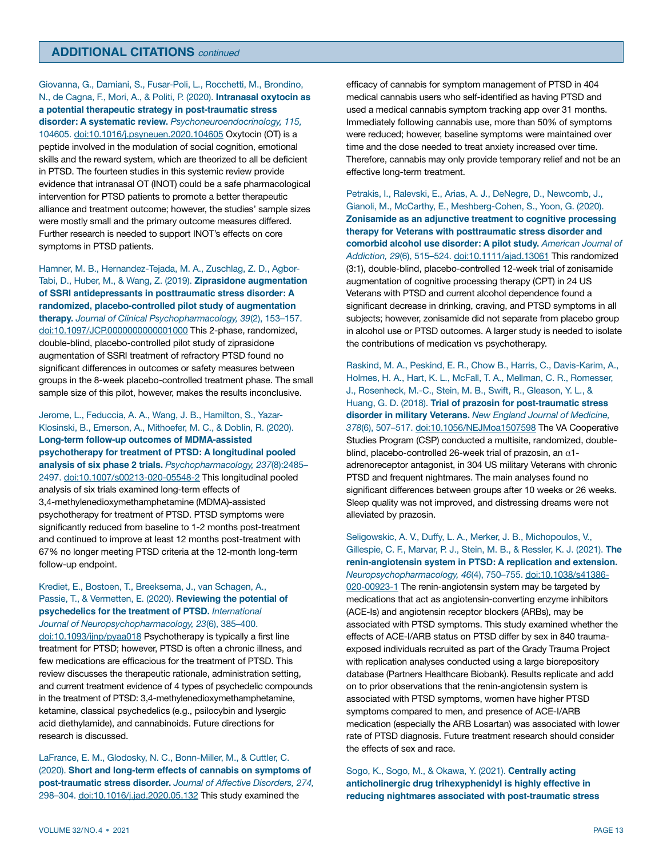Giovanna, G., Damiani, S., Fusar-Poli, L., Rocchetti, M., Brondino, N., de Cagna, F., Mori, A., & Politi, P. (2020). **[Intranasal oxytocin as](https://gcc02.safelinks.protection.outlook.com/?url=https%3A%2F%2Fpubmed.ncbi.nlm.nih.gov%2F32088633%2F&data=04%7C01%7C%7C996e73ba2d604590a00708d91ee12101%7Ce95f1b23abaf45ee821db7ab251ab3bf%7C0%7C0%7C637574774527049805%7CUnknown%7CTWFpbGZsb3d8eyJWIjoiMC4wLjAwMDAiLCJQIjoiV2luMzIiLCJBTiI6Ik1haWwiLCJXVCI6Mn0%3D%7C1000&sdata=HrNmtbp9r5Oi8MUFPB3C9TOE5lZ0DnL3cOXQv4FVLeI%3D&reserved=0)  [a potential therapeutic strategy in post-traumatic stress](https://gcc02.safelinks.protection.outlook.com/?url=https%3A%2F%2Fpubmed.ncbi.nlm.nih.gov%2F32088633%2F&data=04%7C01%7C%7C996e73ba2d604590a00708d91ee12101%7Ce95f1b23abaf45ee821db7ab251ab3bf%7C0%7C0%7C637574774527049805%7CUnknown%7CTWFpbGZsb3d8eyJWIjoiMC4wLjAwMDAiLCJQIjoiV2luMzIiLCJBTiI6Ik1haWwiLCJXVCI6Mn0%3D%7C1000&sdata=HrNmtbp9r5Oi8MUFPB3C9TOE5lZ0DnL3cOXQv4FVLeI%3D&reserved=0)  [disorder: A systematic review.](https://gcc02.safelinks.protection.outlook.com/?url=https%3A%2F%2Fpubmed.ncbi.nlm.nih.gov%2F32088633%2F&data=04%7C01%7C%7C996e73ba2d604590a00708d91ee12101%7Ce95f1b23abaf45ee821db7ab251ab3bf%7C0%7C0%7C637574774527049805%7CUnknown%7CTWFpbGZsb3d8eyJWIjoiMC4wLjAwMDAiLCJQIjoiV2luMzIiLCJBTiI6Ik1haWwiLCJXVCI6Mn0%3D%7C1000&sdata=HrNmtbp9r5Oi8MUFPB3C9TOE5lZ0DnL3cOXQv4FVLeI%3D&reserved=0)** *Psychoneuroendocrinology, 115,*  104605. [doi:10.1016/j.psyneuen.2020.104605](https://doi.org/10.1016/j.psyneuen.2020.104605) Oxytocin (OT) is a peptide involved in the modulation of social cognition, emotional skills and the reward system, which are theorized to all be deficient in PTSD. The fourteen studies in this systemic review provide evidence that intranasal OT (INOT) could be a safe pharmacological intervention for PTSD patients to promote a better therapeutic alliance and treatment outcome; however, the studies' sample sizes were mostly small and the primary outcome measures differed. Further research is needed to support INOT's effects on core symptoms in PTSD patients.

Hamner, M. B., Hernandez-Tejada, M. A., Zuschlag, Z. D., Agbor-Tabi, D., Huber, M., & Wang, Z. (2019). **Ziprasidone augmentation of SSRI antidepressants in posttraumatic stress disorder: A randomized, placebo-controlled pilot study of augmentation therapy.** *Journal of Clinical Psychopharmacology, 39*(2), 153–157. [doi:10.1097/JCP.0000000000001000](https://doi.org/10.1097/JCP.0000000000001000) This 2-phase, randomized, double-blind, placebo-controlled pilot study of ziprasidone augmentation of SSRI treatment of refractory PTSD found no significant differences in outcomes or safety measures between groups in the 8-week placebo-controlled treatment phase. The small sample size of this pilot, however, makes the results inconclusive.

Jerome, L., Feduccia, A. A., Wang, J. B., Hamilton, S., Yazar-Klosinski, B., Emerson, A., Mithoefer, M. C., & Doblin, R. (2020). **Long-term follow-up outcomes of MDMA-assisted psychotherapy for treatment of PTSD: A longitudinal pooled analysis of six phase 2 trials.** *Psychopharmacology, 237*(8):2485– 2497. [doi:10.1007/s00213-020-05548-2](https://doi.org/10.1007/s00213-020-05548-2) This longitudinal pooled analysis of six trials examined long-term effects of 3,4-methylenedioxymethamphetamine (MDMA)-assisted psychotherapy for treatment of PTSD. PTSD symptoms were significantly reduced from baseline to 1-2 months post-treatment and continued to improve at least 12 months post-treatment with 67% no longer meeting PTSD criteria at the 12-month long-term follow-up endpoint.

Krediet, E., Bostoen, T., Breeksema, J., van Schagen, A., Passie, T., & Vermetten, E. (2020). **Reviewing the potential of psychedelics for the treatment of PTSD.** *International* 

*Journal of Neuropsychopharmacology, 23*(6), 385–400. [doi:10.1093/ijnp/pyaa018](https://doi.org/10.1093/ijnp/pyaa018) Psychotherapy is typically a first line treatment for PTSD; however, PTSD is often a chronic illness, and few medications are efficacious for the treatment of PTSD. This review discusses the therapeutic rationale, administration setting, and current treatment evidence of 4 types of psychedelic compounds in the treatment of PTSD: 3,4-methylenedioxymethamphetamine, ketamine, classical psychedelics (e.g., psilocybin and lysergic acid diethylamide), and cannabinoids. Future directions for research is discussed.

LaFrance, E. M., Glodosky, N. C., Bonn-Miller, M., & Cuttler, C. (2020). **Short and long-term effects of cannabis on symptoms of post-traumatic stress disorder.** *Journal of Affective Disorders, 274,*  298–304. [doi:10.1016/j.jad.2020.05.132](https://doi.org/10.1016/j.jad.2020.05.132) This study examined the

efficacy of cannabis for symptom management of PTSD in 404 medical cannabis users who self-identified as having PTSD and used a medical cannabis symptom tracking app over 31 months. Immediately following cannabis use, more than 50% of symptoms were reduced; however, baseline symptoms were maintained over time and the dose needed to treat anxiety increased over time. Therefore, cannabis may only provide temporary relief and not be an effective long-term treatment.

Petrakis, I., Ralevski, E., Arias, A. J., DeNegre, D., Newcomb, J., Gianoli, M., McCarthy, E., Meshberg-Cohen, S., Yoon, G. (2020). **Zonisamide as an adjunctive treatment to cognitive processing therapy for Veterans with posttraumatic stress disorder and comorbid alcohol use disorder: A pilot study.** *American Journal of Addiction, 29*(6), 515–524. [doi:10.1111/ajad.13061](https://doi.org/10.1111/ajad.13061) This randomized (3:1), double-blind, placebo-controlled 12-week trial of zonisamide augmentation of cognitive processing therapy (CPT) in 24 US Veterans with PTSD and current alcohol dependence found a significant decrease in drinking, craving, and PTSD symptoms in all subjects; however, zonisamide did not separate from placebo group in alcohol use or PTSD outcomes. A larger study is needed to isolate the contributions of medication vs psychotherapy.

Raskind, M. A., Peskind, E. R., Chow B., Harris, C., Davis-Karim, A., Holmes, H. A., Hart, K. L., McFall, T. A., Mellman, C. R., Romesser, J., Rosenheck, M.-C., Stein, M. B., Swift, R., Gleason, Y. L., & Huang, G. D. (2018). **Trial of prazosin for post-traumatic stress disorder in military Veterans.** *New England Journal of Medicine, 378*(6), 507–517. [doi:10.1056/NEJMoa1507598](https://doi.org/10.1056/NEJMoa1507598) The VA Cooperative Studies Program (CSP) conducted a multisite, randomized, doubleblind, placebo-controlled 26-week trial of prazosin, an  $\alpha$ 1adrenoreceptor antagonist, in 304 US military Veterans with chronic PTSD and frequent nightmares. The main analyses found no significant differences between groups after 10 weeks or 26 weeks. Sleep quality was not improved, and distressing dreams were not alleviated by prazosin.

Seligowskic, A. V., Duffy, L. A., Merker, J. B., Michopoulos, V., Gillespie, C. F., Marvar, P. J., Stein, M. B., & Ressler, K. J. (2021). **The renin-angiotensin system in PTSD: A replication and extension.**  *Neuropsychopharmacology, 46*(4), 750–755. [doi:10.1038/s41386-](https://doi.org/10.1038/s41386-020-00923-1) [020-00923-1](https://doi.org/10.1038/s41386-020-00923-1) The renin-angiotensin system may be targeted by medications that act as angiotensin-converting enzyme inhibitors (ACE-Is) and angiotensin receptor blockers (ARBs), may be associated with PTSD symptoms. This study examined whether the effects of ACE-I/ARB status on PTSD differ by sex in 840 traumaexposed individuals recruited as part of the Grady Trauma Project with replication analyses conducted using a large biorepository database (Partners Healthcare Biobank). Results replicate and add on to prior observations that the renin-angiotensin system is associated with PTSD symptoms, women have higher PTSD symptoms compared to men, and presence of ACE-I/ARB medication (especially the ARB Losartan) was associated with lower rate of PTSD diagnosis. Future treatment research should consider the effects of sex and race.

Sogo, K., Sogo, M., & Okawa, Y. (2021). **Centrally acting anticholinergic drug trihexyphenidyl is highly effective in reducing nightmares associated with post-traumatic stress**